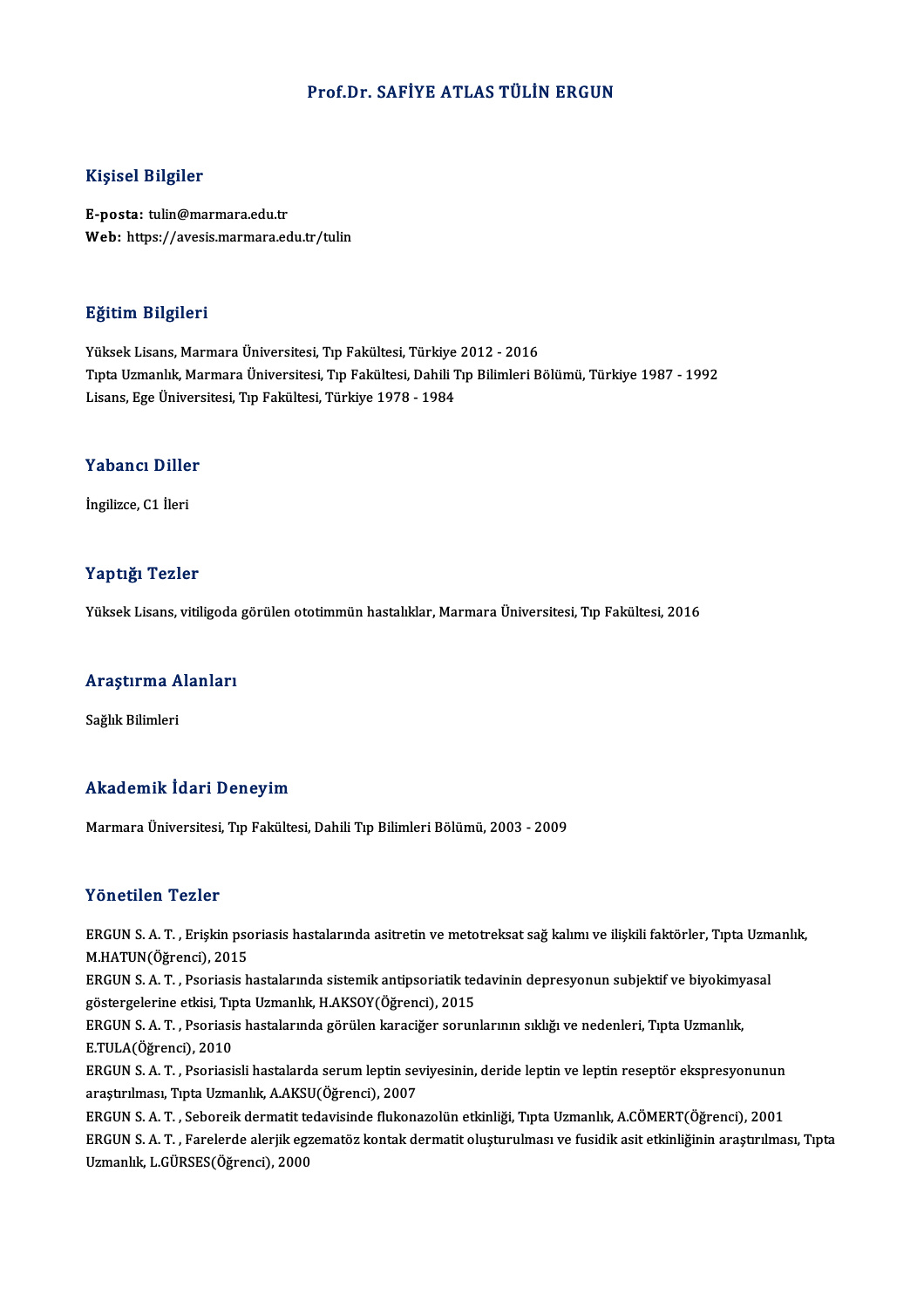#### Prof.Dr. SAFİYE ATLAS TÜLİN ERGUN

#### Kişisel Bilgiler

E-posta: tulin@marmara.edu.tr Web: https://avesis.marmara.edu.tr/tulin

#### Eğitim Bilgileri

YüksekLisans,MarmaraÜniversitesi,Tıp Fakültesi,Türkiye 2012 -2016 TıptaUzmanlık,MarmaraÜniversitesi,Tıp Fakültesi,DahiliTıpBilimleriBölümü,Türkiye 1987 -1992 Lisans,EgeÜniversitesi,Tıp Fakültesi,Türkiye 1978 -1984

## Lisans, ege univers<br>Yabancı Diller Y<mark>abancı Dille</mark><br>İngilizce, C1 İleri

# İngilizce, C1 İleri<br>Yaptığı Tezler

Yüksek Lisans, vitiligoda görülen ototimmün hastalıklar, Marmara Üniversitesi, Tıp Fakültesi, 2016

## ruksek Lisans, vitingoda<br>Araştırma Alanları <mark>Araştırma A</mark><br>Sağlık Bilimleri

## Sağlık Bilimleri<br>Akademik İdari Deneyim

Marmara Üniversitesi, Tıp Fakültesi, Dahili Tıp Bilimleri Bölümü, 2003 - 2009

#### Yönetilen Tezler

Yönetilen Tezler<br>ERGUN S. A. T. , Erişkin psoriasis hastalarında asitretin ve metotreksat sağ kalımı ve ilişkili faktörler, Tıpta Uzmanlık,<br>M.HATUN(Öğrensi), 2015 MOMOMOM TONOM<br>ERGUN S. A. T. , Erişkin psc<br>M.HATUN(Öğrenci), 2015<br>ERGUN S. A. T. - Pseriesis b ERGUN S. A. T. , Erişkin psoriasis hastalarında asitretin ve metotreksat sağ kalımı ve ilişkili faktörler, Tıpta Uzm<br>M.HATUN(Öğrenci), 2015<br>ERGUN S. A. T. , Psoriasis hastalarında sistemik antipsoriatik tedavinin depresyon

M.HATUN(Öğrenci), 2015<br>ERGUN S. A. T. , Psoriasis hastalarında sistemik antipsoriatik teo<br>göstergelerine etkisi, Tıpta Uzmanlık, H.AKSOY(Öğrenci), 2015<br>ERGUN S. A. T., Psoriasis hastalarında görülen karasiğer sorun ERGUN S. A. T. , Psoriasis hastalarında sistemik antipsoriatik tedavinin depresyonun subjektif ve biyokimy<br>göstergelerine etkisi, Tıpta Uzmanlık, H.AKSOY(Öğrenci), 2015<br>ERGUN S. A. T. , Psoriasis hastalarında görülen karac

göstergelerine etkisi, Tıpta Uzmanlık, H.AKSOY(Öğrenci), 2015<br>ERGUN S. A. T. , Psoriasis hastalarında görülen karaciğer sorunlarının sıklığı ve nedenleri, Tıpta Uzmanlık,<br>E.TULA(Öğrenci), 2010 ERGUN S. A. T. , Psoriasis hastalarında görülen karaciğer sorunlarının sıklığı ve nedenleri, Tıpta Uzmanlık,<br>E.TULA(Öğrenci), 2010<br>ERGUN S. A. T. , Psoriasisli hastalarda serum leptin seviyesinin, deride leptin ve leptin r

E.TULA(Öğrenci), 2010<br>ERGUN S. A. T. , Psoriasisli hastalarda serum leptin sey<br>araştırılması, Tıpta Uzmanlık, A.AKSU(Öğrenci), 2007<br>ERGUN S. A. T., Sobonsik dermatit tedevisinde flukspe ERGUN S. A. T. , Psoriasisli hastalarda serum leptin seviyesinin, deride leptin ve leptin reseptör ekspresyonunun<br>araştırılması, Tıpta Uzmanlık, A.AKSU(Öğrenci), 2007<br>ERGUN S. A. T. , Seboreik dermatit tedavisinde flukonaz

araştırılması, Tıpta Uzmanlık, A.AKSU(Öğrenci), 2007<br>ERGUN S. A. T. , Seboreik dermatit tedavisinde flukonazolün etkinliği, Tıpta Uzmanlık, A.CÖMERT(Öğrenci), 2001<br>ERGUN S. A. T. , Farelerde alerjik egzematöz kontak dermat ERGUN S. A. T. , Seboreik dermatit te<br>ERGUN S. A. T. , Farelerde alerjik eg:<br>Uzmanlık, L.GÜRSES(Öğrenci), 2000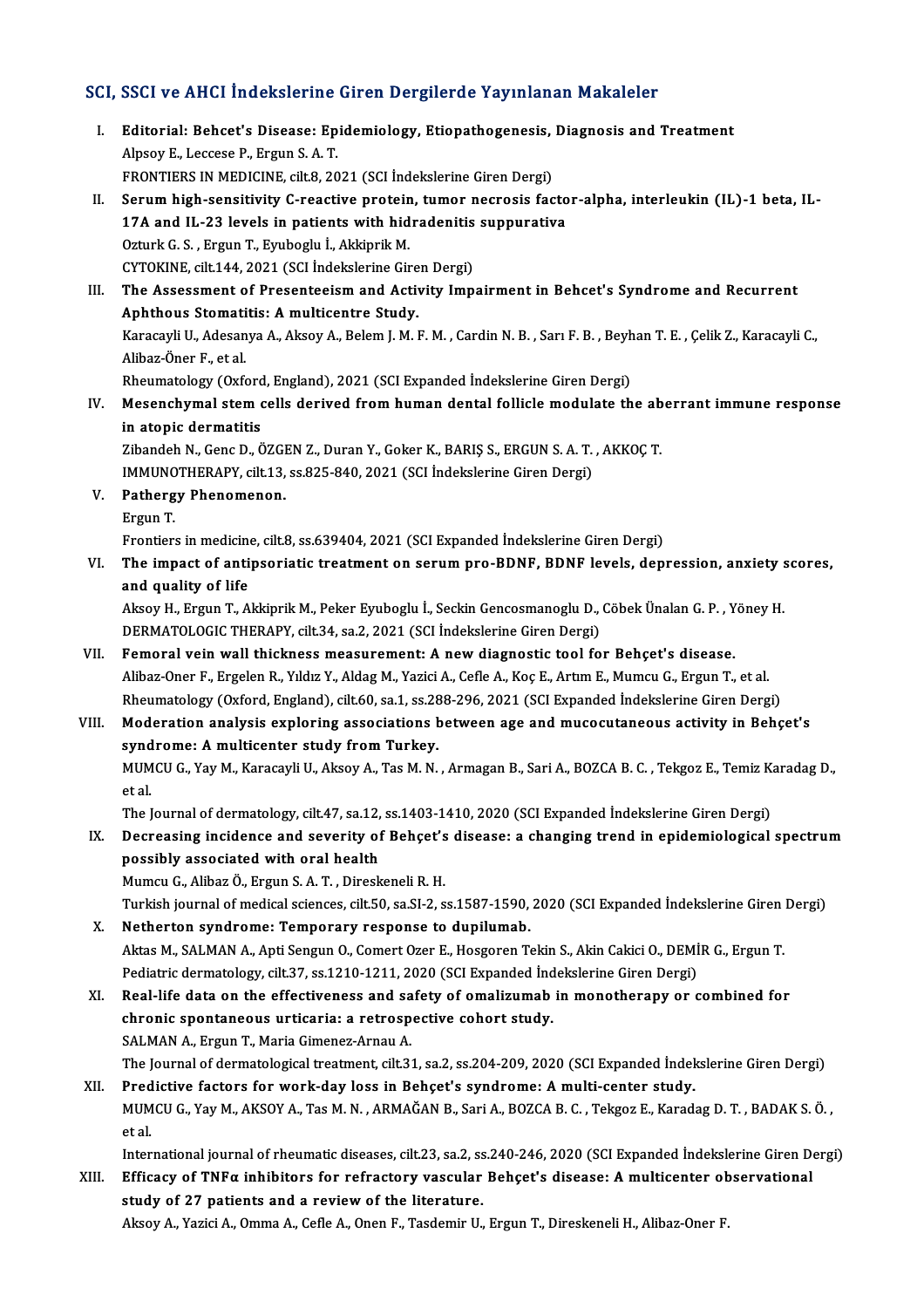#### SCI, SSCI ve AHCI İndekslerine Giren Dergilerde Yayınlanan Makaleler

CI, SSCI ve AHCI İndekslerine Giren Dergilerde Yayınlanan Makaleler<br>I. Editorial: Behcet's Disease: Epidemiology, Etiopathogenesis, Diagnosis and Treatment<br>Alpeeu E. Leessee B. Ergun S.A.T BOOT TO THIST HECKSISTING<br>Editorial: Behcet's Disease: Ep<br>Alpsoy E., Leccese P., Ergun S. A. T.<br>EPONTIERS IN MEDICINE citt 9, 20 Editorial: Behcet's Disease: Epidemiology, Etiopathogenesis,<br>Alpsoy E., Leccese P., Ergun S. A. T.<br>FRONTIERS IN MEDICINE, cilt.8, 2021 (SCI İndekslerine Giren Dergi)<br>Serum bish sensitivity G. reastive pretain, tumar pespes Alpsoy E., Leccese P., Ergun S. A. T.<br>FRONTIERS IN MEDICINE, cilt.8, 2021 (SCI İndekslerine Giren Dergi)<br>II. Serum high-sensitivity C-reactive protein, tumor necrosis factor-alpha, interleukin (IL)-1 beta, IL-<br>17A and IL-2 FRONTIERS IN MEDICINE, cilt.8, 2021 (SCI İndekslerine Giren Dergi) OzturkG.S. ,ErgunT.,Eyuboglu İ.,AkkiprikM. 17A and IL-23 levels in patients with hidradenitis<br>Ozturk G. S., Ergun T., Eyuboglu İ., Akkiprik M.<br>CYTOKINE, cilt.144, 2021 (SCI İndekslerine Giren Dergi)<br>The Assessment of Presentasium and Astivity Imn III. The Assessment of Presenteeism and Activity Impairment in Behcet's Syndrome and Recurrent CYTOKINE, cilt.144, 2021 (SCI İndekslerine Gire<br>The Assessment of Presenteeism and Activent<br>Aphthous Stomatitis: A multicentre Study.<br>Kanagayli II. Adssanya A Alisey A Belem I M I Karacayli U., Adesanya A., Aksoy A., Belem J. M. F. M. , Cardin N. B. , Sarı F. B. , Beyhan T. E. , Çelik Z., Karacayli C.,<br>Alibaz-Öner F., et al. Aphthous Stomatitis: A multicentre Study. Karacayli U., Adesanya A., Aksoy A., Belem J. M. F. M. , Cardin N. B. , Sarı F. B. , Beyh<br>Alibaz-Öner F., et al.<br>Rheumatology (Oxford, England), 2021 (SCI Expanded İndekslerine Giren Dergi)<br>Mesenghumal stam salls dariyad f IV. Mesenchymal stem cells derived from human dental follicle modulate the aberrant immune response in atopic dermatitis Rheumatology (Oxford<br>Mesenchymal stem of<br>in atopic dermatitis<br><sup>7</sup>ibandeb N. Cens D. C Mesenchymal stem cells derived from human dental follicle modulate the ab<br>in atopic dermatitis<br>Zibandeh N., Genc D., ÖZGEN Z., Duran Y., Goker K., BARIŞ S., ERGUN S. A. T. , AKKOÇ T.<br>IMMUNOTUERARY silt 12, ss 925, 940, 202 in atopic dermatitis<br>Zibandeh N., Genc D., ÖZGEN Z., Duran Y., Goker K., BARIŞ S., ERGUN S. A. T.<br>IMMUNOTHERAPY, cilt.13, ss.825-840, 2021 (SCI İndekslerine Giren Dergi)<br>Pathergy Phenomenon V. Pathergy Phenomenon. IMMUNOTHERAPY, cilt.13, ss.825-840, 2021 (SCI İndekslerine Giren Dergi) Frontiers inmedicine, cilt.8, ss.639404,2021 (SCIExpanded İndekslerineGirenDergi) Ergun T.<br>Frontiers in medicine, cilt.8, ss.639404, 2021 (SCI Expanded İndekslerine Giren Dergi)<br>VI. The impact of antipsoriatic treatment on serum pro-BDNF, BDNF levels, depression, anxiety scores,<br>and quelity of life and quality of life The impact of antipsoriatic treatment on serum pro-BDNF, BDNF levels, depression, anxiety s<br>and quality of life<br>Aksoy H., Ergun T., Akkiprik M., Peker Eyuboglu İ., Seckin Gencosmanoglu D., Cöbek Ünalan G. P. , Yöney H.<br>DER Aksoy H., Ergun T., Akkiprik M., Peker Eyuboglu İ., Seckin Gencosmanoglu D., Cöbek Ünalan G. P. , Yöney H.<br>DERMATOLOGIC THERAPY, cilt.34, sa.2, 2021 (SCI İndekslerine Giren Dergi) VII. Femoral vein wall thickness measurement: A new diagnostic tool for Behçet's disease. DERMATOLOGIC THERAPY, cilt.34, sa.2, 2021 (SCI İndekslerine Giren Dergi)<br>Femoral vein wall thickness measurement: A new diagnostic tool for Behçet's disease.<br>Alibaz-Oner F., Ergelen R., Yıldız Y., Aldag M., Yazici A., Cefl Femoral vein wall thickness measurement: A new diagnostic tool for Behçet's disease.<br>Alibaz-Oner F., Ergelen R., Yıldız Y., Aldag M., Yazici A., Cefle A., Koç E., Artım E., Mumcu G., Ergun T., et<br>al. Rheumatology (Oxford, Alibaz-Oner F., Ergelen R., Yıldız Y., Aldag M., Yazici A., Cefle A., Koç E., Artım E., Mumcu G., Ergun T., et al.<br>Rheumatology (Oxford, England), cilt.60, sa.1, ss.288-296, 2021 (SCI Expanded Indekslerine Giren Dergi)<br>VII Rheumatology (Oxford, England), cilt.60, sa.1, ss.28<br>Moderation analysis exploring associations **b**<br>syndrome: A multicenter study from Turkey.<br>MUMCU.C. Yay M. Karasayi: U. Aksoy A. Tas M. N. Moderation analysis exploring associations between age and mucocutaneous activity in Behçet's<br>syndrome: A multicenter study from Turkey.<br>MUMCU G., Yay M., Karacayli U., Aksoy A., Tas M. N. , Armagan B., Sari A., BOZCA B. C synd<br>MUM<br>et al.<br>The l MUMCU G., Yay M., Karacayli U., Aksoy A., Tas M. N. , Armagan B., Sari A., BOZCA B. C. , Tekgoz E., Temiz K.<br>et al.<br>The Journal of dermatology, cilt.47, sa.12, ss.1403-1410, 2020 (SCI Expanded İndekslerine Giren Dergi)<br>Des et al.<br>The Journal of dermatology, cilt.47, sa.12, ss.1403-1410, 2020 (SCI Expanded Indekslerine Giren Dergi)<br>IX. Decreasing incidence and severity of Behçet's disease: a changing trend in epidemiological spectrum<br>poss The Journal of dermatology, cilt.47, sa 12, ss.1403-1410, 2020 (SCI Expanded Indekslerine Giren Dergi) MumcuG.,AlibazÖ.,ErgunS.A.T. ,DireskeneliR.H. possibly associated with oral health<br>Mumcu G., Alibaz Ö., Ergun S. A. T. , Direskeneli R. H.<br>Turkish journal of medical sciences, cilt.50, sa.SI-2, ss.1587-1590, 2020 (SCI Expanded İndekslerine Giren Dergi)<br>Netherten sundr X. Netherton syndrome: Temporary response to dupilumab. Turkish journal of medical sciences, cilt.50, sa.SI-2, ss.1587-1590, 2020 (SCI Expanded İndekslerine Giren<br>Netherton syndrome: Temporary response to dupilumab.<br>Aktas M., SALMAN A., Apti Sengun O., Comert Ozer E., Hosgoren Pediatric dermatology, cilt.37, ss.1210-1211, 2020 (SCI Expanded İndekslerine Giren Dergi) Aktas M., SALMAN A., Apti Sengun O., Comert Ozer E., Hosgoren Tekin S., Akin Cakici O., DEMİR G., Ergun T.<br>Pediatric dermatology, cilt.37, ss.1210-1211, 2020 (SCI Expanded Indekslerine Giren Dergi)<br>XI. Real-life data on th Pediatric dermatology, cilt.37, ss.1210-1211, 2020 (SCI Expanded Ind<br>Real-life data on the effectiveness and safety of omalizumab<br>chronic spontaneous urticaria: a retrospective cohort study.<br>SALMAN A. Ergun T. Marie Cimene Real-life data on the effectiveness and sa<br>chronic spontaneous urticaria: a retrosp<br>SALMAN A., Ergun T., Maria Gimenez-Arnau A.<br>The Journal of dermatelegies treatment sit 2: chronic spontaneous urticaria: a retrospective cohort study.<br>The Journal A., Ergun T., Maria Gimenez-Arnau A.<br>The Journal of dermatological treatment, cilt.31, sa.2, ss.204-209, 2020 (SCI Expanded İndekslerine Giren Dergi) SALMAN A., Ergun T., Maria Gimenez-Arnau A.<br>The Journal of dermatological treatment, cilt.31, sa.2, ss.204-209, 2020 (SCI Expanded Indel<br>XII. Predictive factors for work-day loss in Behçet's syndrome: A multi-center study. The Journal of dermatological treatment, cilt.31, sa.2, ss.204-209, 2020 (SCI Expanded İndekslerine Giren Dergi)<br>Predictive factors for work-day loss in Behçet's syndrome: A multi-center study.<br>MUMCU G., Yay M., AKSOY A., Pred<br>MUM<br>et al.<br>Inter MUMCU G., Yay M., AKSOY A., Tas M. N. , ARMAĞAN B., Sari A., BOZCA B. C. , Tekgoz E., Karadag D. T. , BADAK S. Ö. ,<br>et al.<br>International journal of rheumatic diseases, cilt.23, sa.2, ss.240-246, 2020 (SCI Expanded İndeksle

### et al.<br>International journal of rheumatic diseases, cilt.23, sa.2, ss.240-246, 2020 (SCI Expanded İndekslerine Giren D<br>XIII. Efficacy of TNFα inhibitors for refractory vascular Behçet's disease: A multicenter observationa International journal of rheumatic diseases, cilt.23, sa.2, ss<br>Efficacy of TNF $\alpha$  inhibitors for refractory vascular<br>study of 27 patients and a review of the literature.<br>Alsoy A Nazisi A Omma A Cofle A Open E Tosdomir II <mark>Efficacy of TNFα inhibitors for refractory vascular Behçet's disease: A multicenter ob</mark><br>study of 27 patients and a review of the literature.<br>Aksoy A., Yazici A., Omma A., Cefle A., Onen F., Tasdemir U., Ergun T., Direske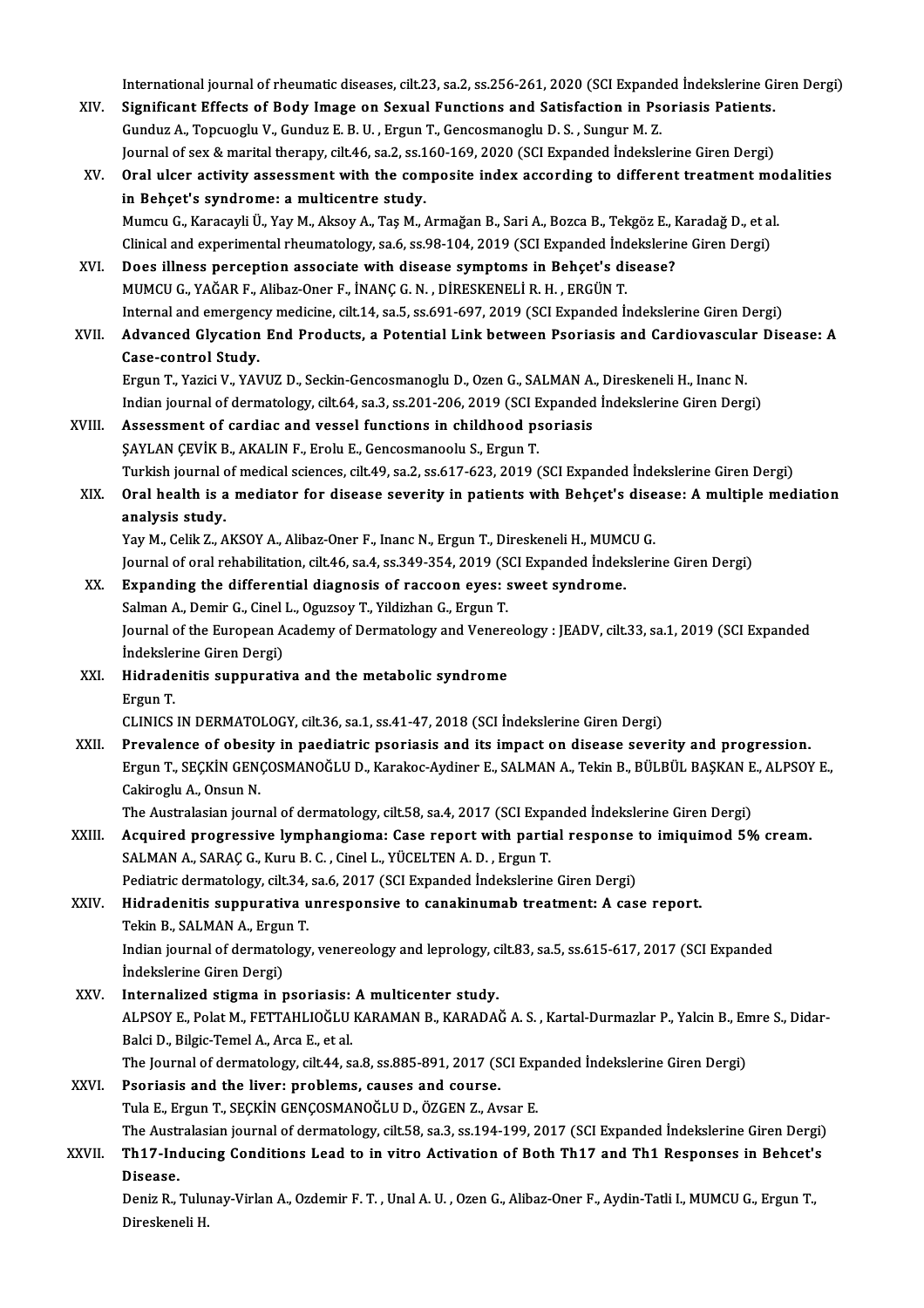International journal of rheumatic diseases, cilt.23, sa.2, ss.256-261, 2020 (SCI Expanded İndekslerine Giren Dergi)<br>Significant Effects of Body Image on Sexual Eunstians and Setisfaction in Beoriasis Betients

- International journal of rheumatic diseases, cilt.23, sa.2, ss.256-261, 2020 (SCI Expanded İndekslerine Gi<br>XIV. Significant Effects of Body Image on Sexual Functions and Satisfaction in Psoriasis Patients. International journal of rheumatic diseases, cilt.23, sa.2, ss.256-261, 2020 (SCI Expand<br>Significant Effects of Body Image on Sexual Functions and Satisfaction in Ps<br>Gunduz A., Topcuoglu V., Gunduz E. B. U. , Ergun T., Gen Significant Effects of Body Image on Sexual Functions and Satisfaction in Psoriasis Patients.<br>Gunduz A., Topcuoglu V., Gunduz E. B. U. , Ergun T., Gencosmanoglu D. S. , Sungur M. Z. Journal of sex & marital therapy, cilt.46, sa.2, ss.160-169, 2020 (SCI Expanded Indekslerine Giren Dergi)
- XV. Oral ulcer activity assessment with the composite index according to different treatment modalities in Behçet's syndrome: a multicentre study. Oral ulcer activity assessment with the composite index according to different treatment mo<br>in Behçet's syndrome: a multicentre study.<br>Mumcu G., Karacayli Ü., Yay M., Aksoy A., Taş M., Armağan B., Sari A., Bozca B., Tekgöz in Behçet's syndrome: a multicentre study.<br>Mumcu G., Karacayli Ü., Yay M., Aksoy A., Taş M., Armağan B., Sari A., Bozca B., Tekgöz E., Karadağ D., et al<br>Clinical and experimental rheumatology, sa.6, ss.98-104, 2019 (SCI Ex Clinical and experimental rheumatology, sa.6, ss.98-104, 2019 (SCI Expanded Indekslerine Giren Dergi)<br>XVI. Does illness perception associate with disease symptoms in Behcet's disease?
- MUMCUG.,YAĞARF.,Alibaz-Oner F., İNANÇG.N. ,DİRESKENELİR.H. ,ERGÜNT. Internal and emergency medicine, cilt.14, sa.5, ss.691-697, 2019 (SCI Expanded Indekslerine Giren Dergi)
- XVII. Advanced Glycation End Products, a Potential Link between Psoriasis and Cardiovascular Disease: A Case-control Study. Advanced Glycation End Products, a Potential Link between Psoriasis and Cardiovascula<br>Case-control Study.<br>Ergun T., Yazici V., YAVUZ D., Seckin-Gencosmanoglu D., Ozen G., SALMAN A., Direskeneli H., Inanc N.<br>Indian journal

Case-control Study.<br>Ergun T., Yazici V., YAVUZ D., Seckin-Gencosmanoglu D., Ozen G., SALMAN A., Direskeneli H., Inanc N.<br>Indian journal of dermatology, cilt.64, sa.3, ss.201-206, 2019 (SCI Expanded İndekslerine Giren Dergi Ergun T., Yazici V., YAVUZ D., Seckin-Gencosmanoglu D., Ozen G., SALMAN A.<br>Indian journal of dermatology, cilt.64, sa.3, ss.201-206, 2019 (SCI Expanded<br>XVIII. Assessment of cardiac and vessel functions in childhood psorias

### Indian journal of dermatology, cilt.64, sa.3, ss.201-206, 2019 (SCI Expanded Indekslerine Giren Dergi)<br>Assessment of cardiac and vessel functions in childhood psoriasis<br>SAYLAN CEVIK B., AKALIN F., Erolu E., Gencosmanoolu S Turkish journalofmedical sciences, cilt.49, sa.2, ss.617-623,2019 (SCIExpanded İndekslerineGirenDergi) SAYLAN ÇEVİK B., AKALIN F., Erolu E., Gencosmanoolu S., Ergun T.<br>Turkish journal of medical sciences, cilt.49, sa.2, ss.617-623, 2019 (SCI Expanded İndekslerine Giren Dergi)<br>XIX. Oral health is a mediator for disease s

Turkish journal o<br>Oral health is a<br>analysis study.<br>You M. Colik 7. A Oral health is a mediator for disease severity in patients with Behçet's dise<br>analysis study.<br>Yay M., Celik Z., AKSOY A., Alibaz-Oner F., Inanc N., Ergun T., Direskeneli H., MUMCU G.<br>Journal of anal rehabilitation silt 46,

analysis study.<br>Yay M., Celik Z., AKSOY A., Alibaz-Oner F., Inanc N., Ergun T., Direskeneli H., MUMCU G.<br>Journal of oral rehabilitation, cilt.46, sa.4, ss.349-354, 2019 (SCI Expanded İndekslerine Giren Dergi) Yay M., Celik Z., AKSOY A., Alibaz-Oner F., Inanc N., Ergun T., Direskeneli H., MUMO<br>Journal of oral rehabilitation, cilt.46, sa.4, ss.349-354, 2019 (SCI Expanded Indek<br>XX. Expanding the differential diagnosis of raccoon e

## Journal of oral rehabilitation, cilt.46, sa.4, ss.349-354, 2019 (S)<br>Expanding the differential diagnosis of raccoon eyes: s<br>Salman A., Demir G., Cinel L., Oguzsoy T., Yildizhan G., Ergun T.<br>Journal of the Euronean Acedemy

Salman A., Demir G., Cinel L., Oguzsoy T., Yildizhan G., Ergun T.

Journal of the European Academy of Dermatology and Venereology : JEADV, cilt.33, sa.1, 2019 (SCI Expanded Indekslerine Giren Dergi) Journal of the European Academy of Dermatology and Venere<br>İndekslerine Giren Dergi)<br>XXI. Hidradenitis suppurativa and the metabolic syndrome

İndeksler<br>Hidrade<br>Ergun T.<br>CUNICS Ergun T.<br>CLINICS IN DERMATOLOGY, cilt.36, sa.1, ss.41-47, 2018 (SCI İndekslerine Giren Dergi)

Ergun T.<br>CLINICS IN DERMATOLOGY, cilt.36, sa.1, ss.41-47, 2018 (SCI İndekslerine Giren Dergi)<br>XXII. Prevalence of obesity in paediatric psoriasis and its impact on disease severity and progression.<br>Frgun T. SECKIN CENCOSMA Ergun T., SEÇKİN GENÇOSMANOĞLU D., Karakoc-Aydiner E., SALMAN A., Tekin B., BÜLBÜL BAŞKAN E., ALPSOY E.,<br>Cakiroglu A., Onsun N. Prevalence of obesi<br>Ergun T., SEÇKİN GEN<br>Cakiroglu A., Onsun N.<br>The Australasian iouur Ergun T., SEÇKİN GENÇOSMANOĞLU D., Karakoc-Aydiner E., SALMAN A., Tekin B., BÜLBÜL BAŞKAN E<br>Cakiroglu A., Onsun N.<br>The Australasian journal of dermatology, cilt.58, sa.4, 2017 (SCI Expanded İndekslerine Giren Dergi)<br>Acquir

Cakiroglu A., Onsun N.<br>The Australasian journal of dermatology, cilt.58, sa.4, 2017 (SCI Expanded Indekslerine Giren Dergi)<br>XXIII. Acquired progressive lymphangioma: Case report with partial response to imiquimod 5% cream. The Australasian journal of dermatology, cilt.58, sa.4, 2017 (SCI Expanded progressive lymphangioma: Case report with particles.<br>SALMAN A., SARAÇ G., Kuru B. C. , Cinel L., YÜCELTEN A. D. , Ergun T.<br>Redistrie dermatelegy, Acquired progressive lymphangioma: Case report with partial response<br>SALMAN A., SARAÇ G., Kuru B. C. , Cinel L., YÜCELTEN A. D. , Ergun T.<br>Pediatric dermatology, cilt.34, sa.6, 2017 (SCI Expanded İndekslerine Giren Dergi)<br> SALMAN A., SARAÇ G., Kuru B. C. , Cinel L., YÜCELTEN A. D. , Ergun T.<br>Pediatric dermatology, cilt.34, sa.6, 2017 (SCI Expanded Indekslerine Giren Dergi)<br>XXIV. Hidradenitis suppurativa unresponsive to canakinumab treatm

## Pediatric dermatology, cilt.34,<br>Hidradenitis suppurativa u<br>Tekin B., SALMAN A., Ergun T.<br>Indian journal of dermatology

Indian journal of dermatology, venereology and leprology, cilt.83, sa.5, ss.615-617, 2017 (SCI Expanded Indekslerine Giren Dergi) Tekin B., SALMAN A., Ergu<br>Indian journal of dermato<br>İndekslerine Giren Dergi)<br>Internalized stisma in r Indian journal of dermatology, venereology and leprology, c<br>
indekslerine Giren Dergi)<br>
XXV. Internalized stigma in psoriasis: A multicenter study.<br>
ALBSOVE Bolat M. EETTAHLIQČLIJ KARAMAN R. KARADA

İndekslerine Giren Dergi)<br>I**nternalized stigma in psoriasis: A multicenter study.**<br>ALPSOY E., Polat M., FETTAHLIOĞLU KARAMAN B., KARADAĞ A. S. , Kartal-Durmazlar P., Yalcin B., Emre S., Didar-<br>Raki D., Bikia Tamal A., Arca Internalized stigma in psoriasis:<br>ALPSOY E., Polat M., FETTAHLIOĞLU<br>Balci D., Bilgic-Temel A., Arca E., et al.<br>The Journal of dermatelegy, silt 44, s: ALPSOY E., Polat M., FETTAHLIOĞLU KARAMAN B., KARADAĞ A. S. , Kartal-Durmazlar P., Yalcin B., Er<br>Balci D., Bilgic-Temel A., Arca E., et al.<br>The Journal of dermatology, cilt.44, sa.8, ss.885-891, 2017 (SCI Expanded İndeksle

Balci D., Bilgic-Temel A., Arca E., et al.<br>The Journal of dermatology, cilt.44, sa.8, ss.885-891, 2017 (SCI Expanded Indekslerine Giren Dergi)<br>XXVI. Psoriasis and the liver: problems. causes and course.

Tula E., Ergun T., SEÇKİN GENÇOSMANOĞLU D., ÖZGEN Z., Avsar E.

Psoriasis and the liver: problems, causes and course.<br>Tula E., Ergun T., SEÇKİN GENÇOSMANOĞLU D., ÖZGEN Z., Avsar E.<br>The Australasian journal of dermatology, cilt.58, sa.3, ss.194-199, 2017 (SCI Expanded İndekslerine Giren

### Tula E., Ergun T., SEÇKİN GENÇOSMANOĞLU D., ÖZGEN Z., Avsar E.<br>The Australasian journal of dermatology, cilt.58, sa.3, ss.194-199, 2017 (SCI Expanded İndekslerine Giren Dergi)<br>XXVII. Th17-Inducing Conditions Lead to in The Austr<br>Th17-Ine<br>Disease. Th17-Inducing Conditions Lead to in vitro Activation of Both Th17 and Th1 Responses in Behcet':<br>Disease.<br>Deniz R., Tulunay-Virlan A., Ozdemir F. T. , Unal A. U. , Ozen G., Alibaz-Oner F., Aydin-Tatli I., MUMCU G., Ergun T.

Disease.<br>Deniz R., Tulu:<br>Direskeneli H.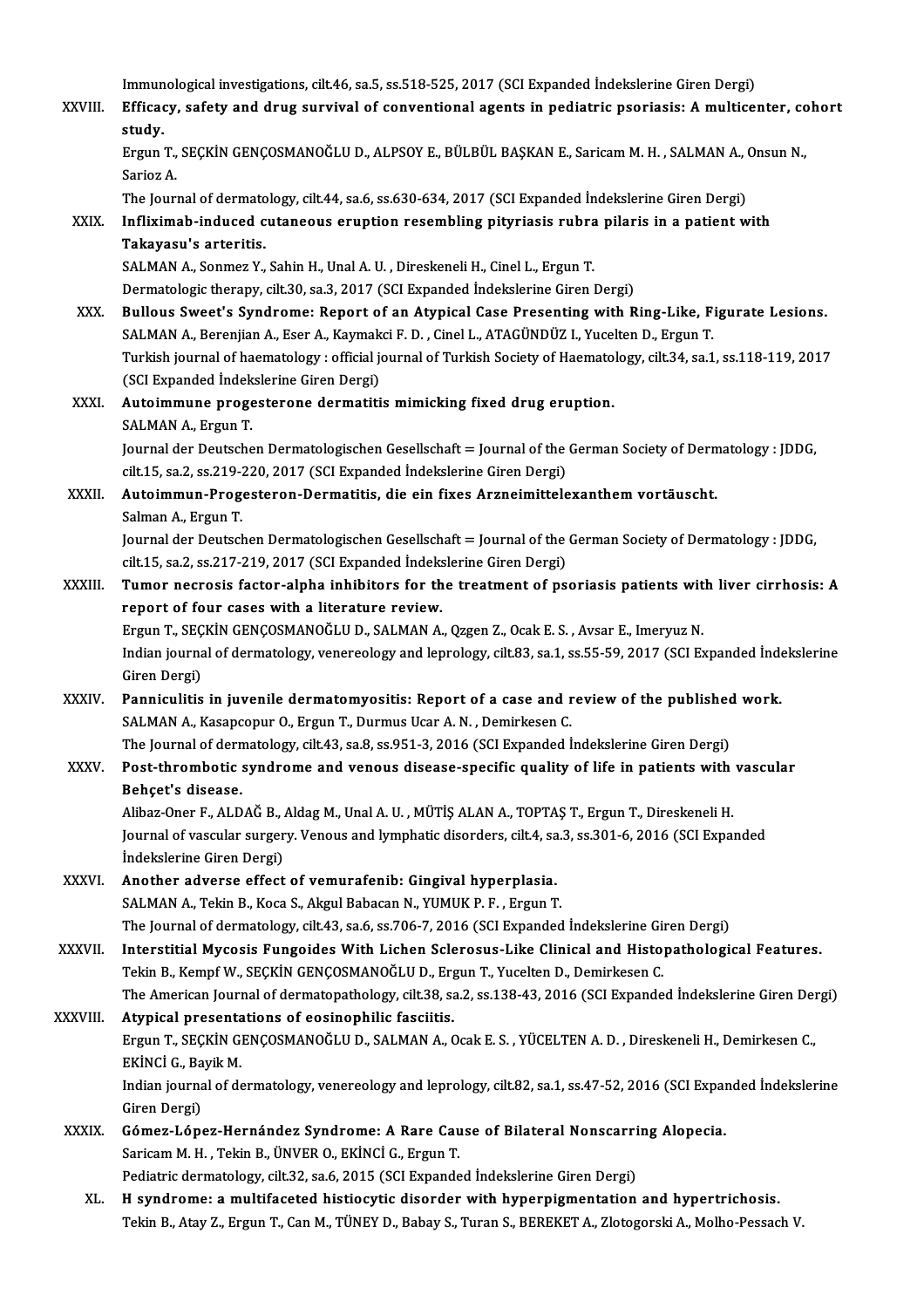|              | Immunological investigations, cilt.46, sa.5, ss.518-525, 2017 (SCI Expanded Indekslerine Giren Dergi)                                                                                 |
|--------------|---------------------------------------------------------------------------------------------------------------------------------------------------------------------------------------|
| XXVIII.      | Efficacy, safety and drug survival of conventional agents in pediatric psoriasis: A multicenter, cohort<br>study.                                                                     |
|              | Ergun T., SEÇKİN GENÇOSMANOĞLU D., ALPSOY E., BÜLBÜL BAŞKAN E., Saricam M. H., SALMAN A., Onsun N.,<br>Sarioz A                                                                       |
|              | The Journal of dermatology, cilt.44, sa.6, ss.630-634, 2017 (SCI Expanded İndekslerine Giren Dergi)                                                                                   |
| XXIX.        | Infliximab-induced cutaneous eruption resembling pityriasis rubra pilaris in a patient with                                                                                           |
|              | Takayasu's arteritis.                                                                                                                                                                 |
|              | SALMAN A., Sonmez Y., Sahin H., Unal A. U., Direskeneli H., Cinel L., Ergun T.<br>Dermatologic therapy, cilt.30, sa.3, 2017 (SCI Expanded İndekslerine Giren Dergi)                   |
| XXX.         | Bullous Sweet's Syndrome: Report of an Atypical Case Presenting with Ring-Like, Figurate Lesions.                                                                                     |
|              | SALMAN A., Berenjian A., Eser A., Kaymakci F. D., Cinel L., ATAGÜNDÜZ I., Yucelten D., Ergun T.                                                                                       |
|              | Turkish journal of haematology : official journal of Turkish Society of Haematology, cilt.34, sa.1, ss.118-119, 2017                                                                  |
|              | (SCI Expanded Indekslerine Giren Dergi)                                                                                                                                               |
| XXXI.        | Autoimmune progesterone dermatitis mimicking fixed drug eruption.                                                                                                                     |
|              | SALMAN A, Ergun T.                                                                                                                                                                    |
|              | Journal der Deutschen Dermatologischen Gesellschaft = Journal of the German Society of Dermatology : JDDG,<br>cilt.15, sa.2, ss.219-220, 2017 (SCI Expanded Indekslerine Giren Dergi) |
| XXXII.       | Autoimmun-Progesteron-Dermatitis, die ein fixes Arzneimittelexanthem vortäuscht.                                                                                                      |
|              | Salman A, Ergun T                                                                                                                                                                     |
|              | Journal der Deutschen Dermatologischen Gesellschaft = Journal of the German Society of Dermatology : JDDG,                                                                            |
|              | cilt.15, sa.2, ss.217-219, 2017 (SCI Expanded İndekslerine Giren Dergi)                                                                                                               |
| XXXIII.      | Tumor necrosis factor-alpha inhibitors for the treatment of psoriasis patients with liver cirrhosis: A                                                                                |
|              | report of four cases with a literature review.<br>Ergun T., SEÇKİN GENÇOSMANOĞLU D., SALMAN A., Qzgen Z., Ocak E. S., Avsar E., Imeryuz N.                                            |
|              | Indian journal of dermatology, venereology and leprology, cilt.83, sa.1, ss.55-59, 2017 (SCI Expanded Indekslerine                                                                    |
|              | Giren Dergi)                                                                                                                                                                          |
| <b>XXXIV</b> | Panniculitis in juvenile dermatomyositis: Report of a case and review of the published work.                                                                                          |
|              | SALMAN A., Kasapcopur O., Ergun T., Durmus Ucar A. N., Demirkesen C.                                                                                                                  |
|              | The Journal of dermatology, cilt.43, sa.8, ss.951-3, 2016 (SCI Expanded Indekslerine Giren Dergi)                                                                                     |
| <b>XXXV</b>  | Post-thrombotic syndrome and venous disease-specific quality of life in patients with vascular<br>Behçet's disease.                                                                   |
|              | Alibaz-Oner F., ALDAĞ B., Aldag M., Unal A. U., MÜTİŞ ALAN A., TOPTAŞ T., Ergun T., Direskeneli H.                                                                                    |
|              | Journal of vascular surgery. Venous and lymphatic disorders, cilt.4, sa.3, ss.301-6, 2016 (SCI Expanded                                                                               |
|              | Indekslerine Giren Dergi)<br>Another adverse effect of vemurafenib: Gingival hyperplasia.                                                                                             |
| XXXVI.       | SALMAN A., Tekin B., Koca S., Akgul Babacan N., YUMUK P. F., Ergun T.                                                                                                                 |
|              | The Journal of dermatology, cilt.43, sa.6, ss.706-7, 2016 (SCI Expanded İndekslerine Giren Dergi)                                                                                     |
| XXXVII.      | Interstitial Mycosis Fungoides With Lichen Sclerosus-Like Clinical and Histopathological Features.                                                                                    |
|              | Tekin B., Kempf W., SEÇKİN GENÇOSMANOĞLU D., Ergun T., Yucelten D., Demirkesen C.                                                                                                     |
|              | The American Journal of dermatopathology, cilt.38, sa.2, ss.138-43, 2016 (SCI Expanded İndekslerine Giren Dergi)                                                                      |
| XXXVIII.     | Atypical presentations of eosinophilic fasciitis.                                                                                                                                     |
|              | Ergun T., SEÇKİN GENÇOSMANOĞLU D., SALMAN A., Ocak E. S., YÜCELTEN A. D., Direskeneli H., Demirkesen C.,<br>EKİNCİ G., Bayik M.                                                       |
|              | Indian journal of dermatology, venereology and leprology, cilt.82, sa.1, ss.47-52, 2016 (SCI Expanded Indekslerine                                                                    |
|              | Giren Dergi)                                                                                                                                                                          |
| <b>XXXIX</b> | Gómez-López-Hernández Syndrome: A Rare Cause of Bilateral Nonscarring Alopecia.                                                                                                       |
|              | Saricam M. H., Tekin B., ÜNVER O., EKİNCİ G., Ergun T.                                                                                                                                |
|              | Pediatric dermatology, cilt.32, sa.6, 2015 (SCI Expanded İndekslerine Giren Dergi)                                                                                                    |
| XL.          | H syndrome: a multifaceted histiocytic disorder with hyperpigmentation and hypertrichosis.                                                                                            |
|              | Tekin B., Atay Z., Ergun T., Can M., TÜNEY D., Babay S., Turan S., BEREKET A., Zlotogorski A., Molho-Pessach V.                                                                       |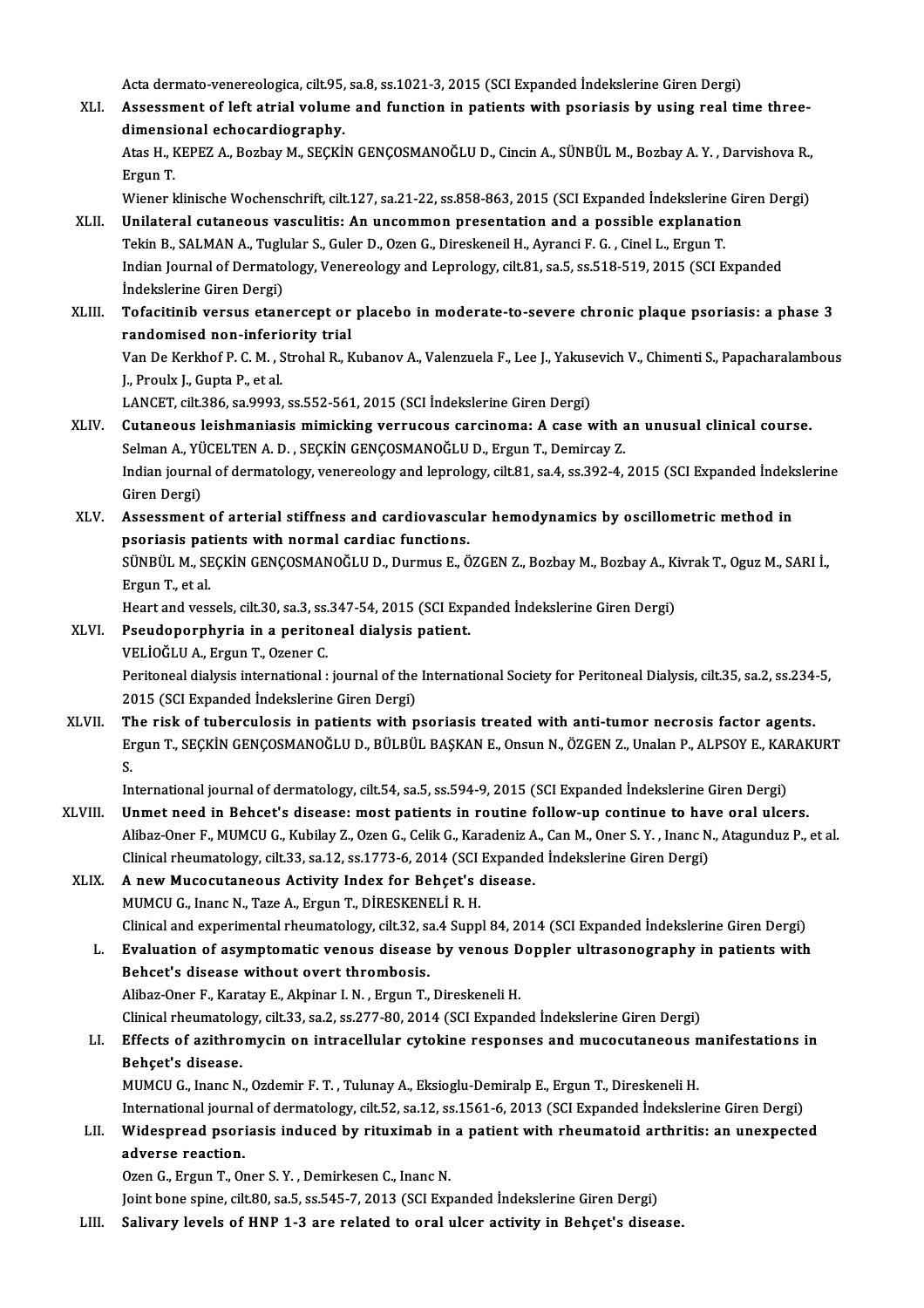Acta dermato-venereologica, cilt.95, sa.8, ss.1021-3, 2015 (SCI Expanded İndekslerine Giren Dergi)<br>Assessment of left etnial volume and function in patients with pseriesis by using neal tit

XLI. Assessment of left atrial volume and function in patients with psoriasis by using real time three-Acta dermato-venereologica, cilt.95,<br>Assessment of left atrial volume<br>dimensional echocardiography.<br>Atas H. KEDEZ A. Borbay M. SECKU Assessment of left atrial volume and function in patients with psoriasis by using real time three-<br>dimensional echocardiography.<br>Atas H., KEPEZ A., Bozbay M., SEÇKİN GENÇOSMANOĞLU D., Cincin A., SÜNBÜL M., Bozbay A.Y. , Da

di<mark>mensi</mark><br>Atas H., I<br>Ergun T.<br>Wiener l Atas H., KEPEZ A., Bozbay M., SEÇKİN GENÇOSMANOĞLU D., Cincin A., SÜNBÜL M., Bozbay A. Y. , Darvishova R.,<br>Ergun T.<br>Wiener klinische Wochenschrift, cilt.127, sa.21-22, ss.858-863, 2015 (SCI Expanded İndekslerine Giren Derg

- Ergun T.<br>Wiener klinische Wochenschrift, cilt.127, sa.21-22, ss.858-863, 2015 (SCI Expanded Indekslerine Gii<br>XLII. Unilateral cutaneous vasculitis: An uncommon presentation and a possible explanation<br>Tekin B. SALMAN A. Tug Wiener klinische Wochenschrift, cilt.127, sa.21-22, ss.858-863, 2015 (SCI Expanded İndekslerine<br>Unilateral cutaneous vasculitis: An uncommon presentation and a possible explanation<br>Tekin B., SALMAN A., Tuglular S., Guler D Unilateral cutaneous vasculitis: An uncommon presentation and a possible explanation<br>Tekin B., SALMAN A., Tuglular S., Guler D., Ozen G., Direskeneil H., Ayranci F. G. , Cinel L., Ergun T.<br>Indian Journal of Dermatology, Ve Tekin B., SALMAN A., Tuglu<br>Indian Journal of Dermato<br>İndekslerine Giren Dergi)<br>Tofositinih versus otan Indian Journal of Dermatology, Venereology and Leprology, cilt.81, sa.5, ss.518-519, 2015 (SCI Expanded<br>
indekslerine Giren Dergi)<br>
XLIII. Tofacitinib versus etanercept or placebo in moderate-to-severe chronic plaque psori
- Indekslerine Giren Dergi)<br>Tofacitinib versus etanercept or<br>randomised non-inferiority trial<br>Van De Karkbof B.C.M., Strabel B. K Tofacitinib versus etanercept or placebo in moderate-to-severe chronic plaque psoriasis: a phase 3<br>randomised non-inferiority trial<br>Van De Kerkhof P. C. M. , Strohal R., Kubanov A., Valenzuela F., Lee J., Yakusevich V., Ch

randomised non-inferiority trial<br>Van De Kerkhof P. C. M. , Strohal R., Kubanov A., Valenzuela F., Lee J., Yakusevich V., Chimenti S., Papacharalambous<br>J., Proulx J., Gupta P., et al. Van De Kerkhof P. C. M. , Strohal R., Kubanov A., Valenzuela F., Lee J., Yakuso<br>J., Proulx J., Gupta P., et al.<br>LANCET, cilt.386, sa.9993, ss.552-561, 2015 (SCI İndekslerine Giren Dergi)<br>Cutanoous leishmanissis mimisking y

- XLIV. Cutaneous leishmaniasis mimicking verrucous carcinoma: A case with an unusual clinical course. LANCET, cilt.386, sa.9993, ss.552-561, 2015 (SCI İndekslerine Giren Dergi)<br>Cutaneous leishmaniasis mimicking verrucous carcinoma: A case with a<br>Selman A., YÜCELTEN A. D. , SEÇKİN GENÇOSMANOĞLU D., Ergun T., Demircay Z.<br>Ind Indian journal of dermatology, venereology and leprology, cilt.81, sa.4, ss.392-4, 2015 (SCI Expanded İndekslerine<br>Giren Dergi) Selman A., YÜCELTEN A. D., SEÇKİN GENÇOSMANOĞLU D., Ergun T., Demircay Z. Indian journal of dermatology, venereology and leprology, cilt.81, sa.4, ss.392-4, 2015 (SCI Expanded Indek<br>Giren Dergi)<br>XLV. Assessment of arterial stiffness and cardiovascular hemodynamics by oscillometric method in
- Giren Dergi)<br>Assessment of arterial stiffness and cardiovascul<br>psoriasis patients with normal cardiac functions.<br>SÜNPÜL M. SECKİN CENCOSMANOČLU D. Durmus E. Ö Assessment of arterial stiffness and cardiovascular hemodynamics by oscillometric method in<br>psoriasis patients with normal cardiac functions.<br>SÜNBÜL M., SEÇKİN GENÇOSMANOĞLU D., Durmus E., ÖZGEN Z., Bozbay M., Bozbay A., K psoriasis patients with normal cardiac functions.<br>SÜNBÜL M., SEÇKİN GENÇOSMANOĞLU D., Durmus E., ÖZGEN Z., Bozbay M., Bozbay A., Kivrak T., Oguz M., SARI İ.,<br>Ergun T., et al. SÜNBÜL M., SEÇKİN GENÇOSMANOĞLU D., Durmus E., ÖZGEN Z., Bozbay M., Bozbay A., Ki<br>Ergun T., et al.<br>Heart and vessels, cilt.30, sa.3, ss.347-54, 2015 (SCI Expanded İndekslerine Giren Dergi)<br>Beaudenornburia in a poritoneal d

- Ergun T., et al.<br>Heart and vessels, cilt.30, sa.3, ss.347-54, 2015 (SCI Exp<br>XLVI. Pseudoporphyria in a peritoneal dialysis patient.<br>VELIOČLUA, Frgun T. Ozoper C. Heart and vessels, cilt.30, sa.3, ss.<br>Pseudoporphyria in a peritor<br>VELİOĞLU A., Ergun T., Ozener C.<br>Peritoneal dialysis international .
	-

Pseudoporphyria in a peritoneal dialysis patient.<br>VELİOĞLU A., Ergun T., Ozener C.<br>Peritoneal dialysis international : journal of the International Society for Peritoneal Dialysis, cilt.35, sa.2, ss.234-5,<br>2015 (SCL Expand VELİOĞLU A., Ergun T., Ozener C.<br>Peritoneal dialysis international : journal of the<br>2015 (SCI Expanded İndekslerine Giren Dergi)<br>The rick of tubergulogis in nationts with n Peritoneal dialysis international : journal of the International Society for Peritoneal Dialysis, cilt.35, sa.2, ss.234-<br>2015 (SCI Expanded Indekslerine Giren Dergi)<br>XLVII. The risk of tuberculosis in patients with psorias

2015 (SCI Expanded İndekslerine Giren Dergi)<br>The risk of tuberculosis in patients with psoriasis treated with anti-tumor necrosis factor agents.<br>Ergun T., SEÇKİN GENÇOSMANOĞLU D., BÜLBÜL BAŞKAN E., Onsun N., ÖZGEN Z., Unal TI<br>En<br>In Ergun T., SEÇKİN GENÇOSMANOĞLU D., BÜLBÜL BAŞKAN E., Onsun N., ÖZGEN Z., Unalan P., ALPSOY E., KAI<br>S.<br>International journal of dermatology, cilt.54, sa.5, ss.594-9, 2015 (SCI Expanded İndekslerine Giren Dergi)<br>Unmet need i

S.<br>International journal of dermatology, cilt.54, sa.5, ss.594-9, 2015 (SCI Expanded Indekslerine Giren Dergi)<br>XLVIII. Unmet need in Behcet's disease: most patients in routine follow-up continue to have oral ulcers.<br>Aliber Alibaz-Oner F., MUMCU G., Kubilay Z., Ozen G., Celik G., Karadeniz A., Can M., Oner S.Y., Inanc N., Atagunduz P., et al. Unmet need in Behcet's disease: most patients in routine follow-up continue to have oral ulcers. Clinical rheumatology, cilt.33, sa.12, ss.1773-6, 2014 (SCI Expanded Indekslerine Giren Dergi)

### XLIX. A new Mucocutaneous Activity Index for Behçet's disease.<br>MUMCU G., Inanc N., Taze A., Ergun T., DİRESKENELİ R. H. A new Mucocutaneous Activity Index for Behçet's disease.<br>MUMCU G., Inanc N., Taze A., Ergun T., DİRESKENELİ R. H.<br>Clinical and experimental rheumatology, cilt.32, sa.4 Suppl 84, 2014 (SCI Expanded İndekslerine Giren Dergi)

MUMCU G., Inanc N., Taze A., Ergun T., DİRESKENELİ R. H.<br>Clinical and experimental rheumatology, cilt.32, sa.4 Suppl 84, 2014 (SCI Expanded Indekslerine Giren Dergi)<br>L. Evaluation of asymptomatic venous disease by venous D Clinical and experimental rheumatology, cilt.32, sa<br>Evaluation of asymptomatic venous disease<br>Behcet's disease without overt thrombosis.<br>Alibaz Oper E. Karatay E. Alminar L.N., Ergun T. Evaluation of asymptomatic venous disease by venous Doppler ultrasonography in patients with<br>Behcet's disease without overt thrombosis.<br>Alibaz-Oner F., Karatay E., Akpinar I.N., Ergun T., Direskeneli H. Behcet's disease without overt thrombosis.<br>Alibaz-Oner F., Karatay E., Akpinar I. N. , Ergun T., Direskeneli H.<br>Clinical rheumatology, cilt.33, sa.2, ss.277-80, 2014 (SCI Expanded İndekslerine Giren Dergi)<br>Effects of egith

### Alibaz-Oner F., Karatay E., Akpinar I. N. , Ergun T., Direskeneli H.<br>Clinical rheumatology, cilt.33, sa.2, ss.277-80, 2014 (SCI Expanded İndekslerine Giren Dergi)<br>LI. Effects of azithromycin on intracellular cytokine respo Clinical rheumatolo<br>Effects of azithro<br>Behçet's disease.<br>MUMCU C. Inana N Effects of azithromycin on intracellular cytokine responses and mucocutaneous n<br>Behçet's disease.<br>MUMCU G., Inanc N., Ozdemir F.T. , Tulunay A., Eksioglu-Demiralp E., Ergun T., Direskeneli H.<br>International journal of derma

Behçet's disease.<br>MUMCU G., Inanc N., Ozdemir F. T. , Tulunay A., Eksioglu-Demiralp E., Ergun T., Direskeneli H.<br>International journal of dermatology, cilt.52, sa.12, ss.1561-6, 2013 (SCI Expanded İndekslerine Giren Dergi)

### MUMCU G., Inanc N., Ozdemir F. T. , Tulunay A., Eksioglu-Demiralp E., Ergun T., Direskeneli H.<br>International journal of dermatology, cilt.52, sa.12, ss.1561-6, 2013 (SCI Expanded Indekslerine Giren Dergi)<br>LII. Widespread p International journa<br>Widespread psori<br>adverse reaction.<br>Ozen G. Exsun T. Ov Widespread psoriasis induced by rituximab in<br>adverse reaction.<br>Ozen G., Ergun T., Oner S.Y. , Demirkesen C., Inanc N.<br>Jaint bone spine, silt 80, se 5 se 545,7, 2012 (SCI Eur

adverse reaction.<br>Ozen G., Ergun T., Oner S. Y. , Demirkesen C., Inanc N.<br>Joint bone spine, cilt.80, sa.5, ss.545-7, 2013 (SCI Expanded İndekslerine Giren Dergi)

LIII. Salivary levels of HNP 1-3 are related to oral ulcer activity in Behçet's disease.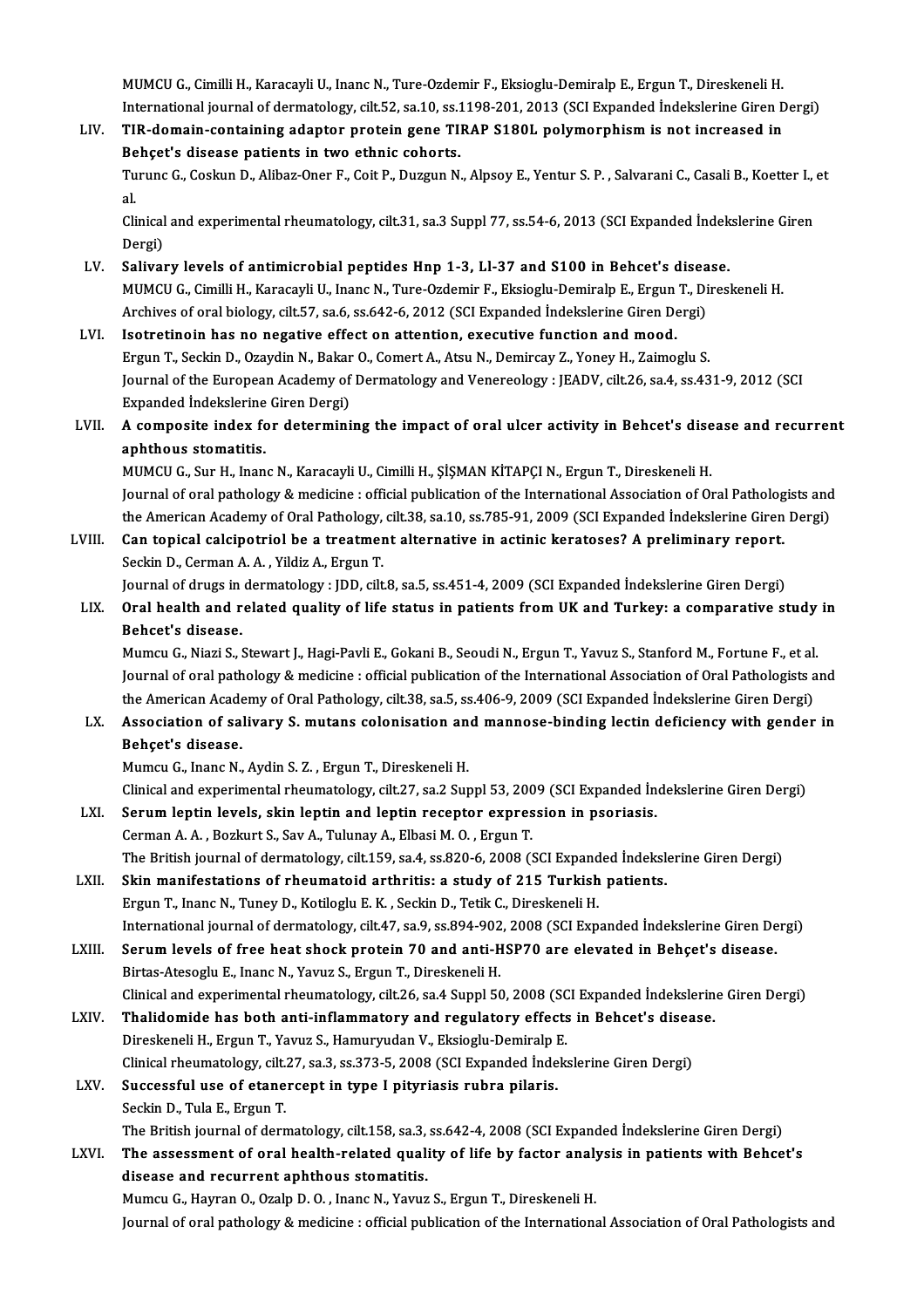MUMCU G., Cimilli H., Karacayli U., Inanc N., Ture-Ozdemir F., Eksioglu-Demiralp E., Ergun T., Direskeneli H.<br>International ieurnal of dermatelegy, silt 52, se 10, se 1108, 201, 2012 (SCL Eunanded Indekslering Giron E MUMCU G., Cimilli H., Karacayli U., Inanc N., Ture-Ozdemir F., Eksioglu-Demiralp E., Ergun T., Direskeneli H.<br>International journal of dermatology, cilt.52, sa.10, ss.1198-201, 2013 (SCI Expanded İndekslerine Giren Dergi)<br> MUMCU G., Cimilli H., Karacayli U., Inanc N., Ture-Ozdemir F., Eksioglu-Demiralp E., Ergun T., Direskeneli H.<br>International journal of dermatology, cilt.52, sa.10, ss.1198-201, 2013 (SCI Expanded Indekslerine Giren D<br>LIV.

International journal of dermatology, cilt.52, sa.10, ss.1198-201, 2013 (SCI Expanded Indekslerine Giren Dergi)<br>TIR-domain-containing adaptor protein gene TIRAP S180L polymorphism is not increased in<br>Behçet's disease patie TIR-domain-containing adaptor protein gene TIRAP S180L polymorphism is not increased in<br>Behçet's disease patients in two ethnic cohorts.<br>Turunc G., Coskun D., Alibaz-Oner F., Coit P., Duzgun N., Alpsoy E., Yentur S. P. , S Be<br>Tu<br>al.

Turunc G., Coskun D., Alibaz-Oner F., Coit P., Duzgun N., Alpsoy E., Yentur S. P. , Salvarani C., Casali B., Koetter I.,<br>al.<br>Clinical and experimental rheumatology, cilt.31, sa.3 Suppl 77, ss.54-6, 2013 (SCI Expanded İndek al.<br>Clinical and experimental rheumatology, cilt.31, sa.3 Suppl 77, ss.54-6, 2013 (SCI Expanded İndekslerine Giren<br>Dergi)

- LV. Salivary levels of antimicrobial peptides Hnp 1-3, Ll-37 and S100 in Behcet's disease. Dergi)<br>Salivary levels of antimicrobial peptides Hnp 1-3, Ll-37 and S100 in Behcet's disease.<br>MUMCU G., Cimilli H., Karacayli U., Inanc N., Ture-Ozdemir F., Eksioglu-Demiralp E., Ergun T., Direskeneli H.<br>Archives of eral b Salivary levels of antimicrobial peptides Hnp 1-3, Ll-37 and S100 in Behcet's disea<br>MUMCU G., Cimilli H., Karacayli U., Inanc N., Ture-Ozdemir F., Eksioglu-Demiralp E., Ergun T., Di<br>Archives of oral biology, cilt.57, sa.6, MUMCU G., Cimilli H., Karacayli U., Inanc N., Ture-Ozdemir F., Eksioglu-Demiralp E., Ergun<br>Archives of oral biology, cilt.57, sa.6, ss.642-6, 2012 (SCI Expanded Indekslerine Giren De<br>LVI. Isotretinoin has no negative effec
- Archives of oral biology, cilt.57, sa.6, ss.642-6, 2012 (SCI Expanded Indekslerine Giren Dergi)<br>LVI. Isotretinoin has no negative effect on attention, executive function and mood.<br>Ergun T., Seckin D., Ozaydin N., Bakar O., Isotretinoin has no negative effect on attention, executive function and mood.<br>Ergun T., Seckin D., Ozaydin N., Bakar O., Comert A., Atsu N., Demircay Z., Yoney H., Zaimoglu S.<br>Journal of the European Academy of Dermatolog Ergun T., Seckin D., Ozaydin N., Bakar<br>Journal of the European Academy of<br>Expanded İndekslerine Giren Dergi)<br>A sermesite index for determini Journal of the European Academy of Dermatology and Venereology : JEADV, cilt.26, sa.4, ss.431-9, 2012 (SCI<br>Expanded Indekslerine Giren Dergi)<br>LVII. A composite index for determining the impact of oral ulcer activity in Beh

## Expanded Indekslerine Giren Dergi)<br>A composite index for determining the impact of oral ulcer activity in Behcet's disease and recurrent<br>aphthous stomatitis.

MUMCU G., Sur H., Inanc N., Karacayli U., Cimilli H., ŞİŞMAN KİTAPÇI N., Ergun T., Direskeneli H. aphthous stomatitis.<br>MUMCU G., Sur H., Inanc N., Karacayli U., Cimilli H., ŞİŞMAN KİTAPÇI N., Ergun T., Direskeneli H.<br>Journal of oral pathology & medicine : official publication of the International Association of Oral Pa MUMCU G., Sur H., Inanc N., Karacayli U., Cimilli H., ŞİŞMAN KİTAPÇI N., Ergun T., Direskeneli H.<br>Journal of oral pathology & medicine : official publication of the International Association of Oral Pathologists and<br>the Am Journal of oral pathology & medicine : official publication of the International Association of Oral Patholog<br>the American Academy of Oral Pathology, cilt.38, sa.10, ss.785-91, 2009 (SCI Expanded Indekslerine Giren<br>LVIII.

the American Academy of Oral Pathology, cilt.38, sa.10, ss.785-91, 2009 (SCI Expanded Indekslerine Giren Dergi)<br>Can topical calcipotriol be a treatment alternative in actinic keratoses? A preliminary report.<br>Seckin D., Cer Can topical calcipotriol be a treatment alternative in actinic keratoses? A preliminary report.<br>Seckin D., Cerman A. A. , Yildiz A., Ergun T.<br>Journal of drugs in dermatology : JDD, cilt.8, sa.5, ss.451-4, 2009 (SCI Expande

Seckin D., Cerman A. A. , Yildiz A., Ergun T.<br>Journal of drugs in dermatology : JDD, cilt.8, sa.5, ss.451-4, 2009 (SCI Expanded İndekslerine Giren Dergi)<br>LIX. Oral health and related quality of life status in patients **Journal of drugs in<br>Oral health and r<br>Behcet's disease.**<br>Mumau C. Niari S. ( Oral health and related quality of life status in patients from UK and Turkey: a comparative study<br>Behcet's disease.<br>Mumcu G., Niazi S., Stewart J., Hagi-Pavli E., Gokani B., Seoudi N., Ergun T., Yavuz S., Stanford M., For

Behcet's disease.<br>Mumcu G., Niazi S., Stewart J., Hagi-Pavli E., Gokani B., Seoudi N., Ergun T., Yavuz S., Stanford M., Fortune F., et al.<br>Journal of oral pathology & medicine : official publication of the International As Mumcu G., Niazi S., Stewart J., Hagi-Pavli E., Gokani B., Seoudi N., Ergun T., Yavuz S., Stanford M., Fortune F., et al. Journal of oral pathology & medicine : official publication of the International Association of Oral Pathologists and<br>the American Academy of Oral Pathology, cilt.38, sa.5, ss.406-9, 2009 (SCI Expanded Indekslerine Giren D

the American Acade<br>Association of sa<br>Behçet's disease.<br>Mumau C. Inang N Association of salivary S. mutans colonisation an<br>Behçet's disease.<br>Mumcu G., Inanc N., Aydin S. Z. , Ergun T., Direskeneli H.<br>Clinicel and experimental rhoumatelegy, eilt 27, ee 2 Sur Behçet's disease.<br>Mumcu G., Inanc N., Aydin S. Z. , Ergun T., Direskeneli H.<br>Clinical and experimental rheumatology, cilt.27, sa.2 Suppl 53, 2009 (SCI Expanded İndekslerine Giren Dergi)<br>Serum Jontin Jovels, skin Jontin and

- Mumcu G., Inanc N., Aydin S. Z., Ergun T., Direskeneli H.<br>Clinical and experimental rheumatology, cilt.27, sa.2 Suppl 53, 2009 (SCI Expanded In<br>LXI. Serum leptin levels, skin leptin and leptin receptor expression in psoria Clinical and experimental rheumatology, cilt.27, sa.2 Suppl 53, 200<br>Serum leptin levels, skin leptin and leptin receptor expres<br>Cerman A. A., Bozkurt S., Sav A., Tulunay A., Elbasi M. O., Ergun T.<br>The Pritish journal of de Serum leptin levels, skin leptin and leptin receptor expression in psoriasis.<br>Cerman A. A. , Bozkurt S., Sav A., Tulunay A., Elbasi M. O. , Ergun T.<br>The British journal of dermatology, cilt.159, sa.4, ss.820-6, 2008 (SCI E Cerman A. A. , Bozkurt S., Sav A., Tulunay A., Elbasi M. O. , Ergun T.<br>The British journal of dermatology, cilt.159, sa.4, ss.820-6, 2008 (SCI Expanded Indeksland Extil. Skin manifestations of rheumatoid arthritis: a study
- The British journal of dermatology, cilt.159, sa.4, ss.820-6, 2008 (SCI Expand<br>Skin manifestations of rheumatoid arthritis: a study of 215 Turkish<br>Ergun T., Inanc N., Tuney D., Kotiloglu E. K. , Seckin D., Tetik C., Diresk Skin manifestations of rheumatoid arthritis: a study of 215 Turkish patients.<br>Ergun T., Inanc N., Tuney D., Kotiloglu E. K. , Seckin D., Tetik C., Direskeneli H.<br>International journal of dermatology, cilt.47, sa.9, ss.894-Ergun T., Inanc N., Tuney D., Kotiloglu E. K. , Seckin D., Tetik C., Direskeneli H.<br>International journal of dermatology, cilt.47, sa.9, ss.894-902, 2008 (SCI Expanded Indekslerine Giren De<br>LXIII. Serum levels of free heat

International journal of dermatology, cilt.47, sa.9, ss.894-902<br>Serum levels of free heat shock protein 70 and anti-H<br>Birtas-Atesoglu E., Inanc N., Yavuz S., Ergun T., Direskeneli H.<br>Clinical and experimental rhoumatology, Serum levels of free heat shock protein 70 and anti-HSP70 are elevated in Behçet's disease.<br>Birtas-Atesoglu E., Inanc N., Yavuz S., Ergun T., Direskeneli H.<br>Clinical and experimental rheumatology, cilt.26, sa.4 Suppl 50, 2 Birtas-Atesoglu E., Inanc N., Yavuz S., Ergun T., Direskeneli H.<br>Clinical and experimental rheumatology, cilt.26, sa.4 Suppl 50, 2008 (SCI Expanded Indekslerin<br>LXIV. Thalidomide has both anti-inflammatory and regulatory ef

Clinical and experimental rheumatology, cilt.26, sa.4 Suppl 50, 2008 (SC<br>Thalidomide has both anti-inflammatory and regulatory effects<br>Direskeneli H., Ergun T., Yavuz S., Hamuryudan V., Eksioglu-Demiralp E.<br>Clinical rheuma Thalidomide has both anti-inflammatory and regulatory effects in Behcet's disea<br>Direskeneli H., Ergun T., Yavuz S., Hamuryudan V., Eksioglu-Demiralp E.<br>Clinical rheumatology, cilt.27, sa.3, ss.373-5, 2008 (SCI Expanded İnd Direskeneli H., Ergun T., Yavuz S., Hamuryudan V., Eksioglu-Demiralp E.<br>Clinical rheumatology, cilt.27, sa.3, ss.373-5, 2008 (SCI Expanded Indek:<br>LXV. Successful use of etanercept in type I pityriasis rubra pilaris.<br>Seckin Clinical rheumatology, cilt.27, sa.3, ss.373-5, 2008 (SCI Expanded Indekslerine Giren Dergi)

The British journal of dermatology, cilt.158, sa.3, ss.642-4, 2008 (SCI Expanded Indekslerine Giren Dergi)

Seckin D., Tula E., Ergun T.<br>The British journal of dermatology, cilt.158, sa.3, ss.642-4, 2008 (SCI Expanded İndekslerine Giren Dergi)<br>LXVI. The assessment of oral health-related quality of life by factor analysis in pati The British journal of dermatology, cilt.158, sa.3,<br>The assessment of oral health-related quali<br>disease and recurrent aphthous stomatitis.<br>Mumay C. Houren O. Oraln D. O. Jaana N. Vouya The assessment of oral health-related quality of life by factor analy<br>disease and recurrent aphthous stomatitis.<br>Mumcu G., Hayran O., Ozalp D. O. , Inanc N., Yavuz S., Ergun T., Direskeneli H.<br>Journal of and nathology & mo

disease and recurrent aphthous stomatitis.<br>Mumcu G., Hayran O., Ozalp D. O. , Inanc N., Yavuz S., Ergun T., Direskeneli H.<br>Journal of oral pathology & medicine : official publication of the International Association of Ora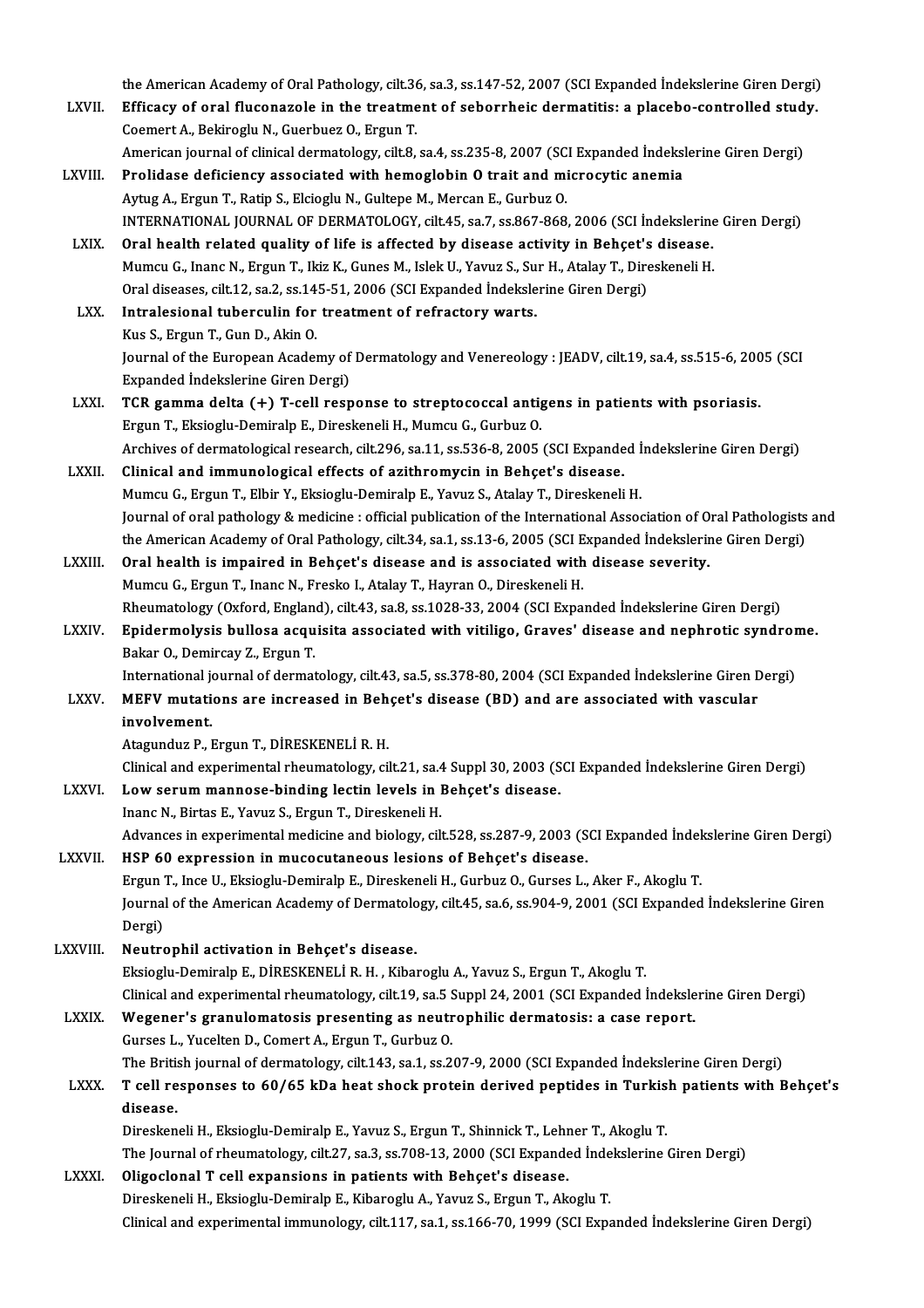the American Academy of Oral Pathology, cilt.36, sa.3, ss.147-52, 2007 (SCI Expanded İndekslerine Giren Dergi)<br>Efficesy of eral flucenarale in the treatment of sebergheis dermetities e plasebe sentrelled study.

- the American Academy of Oral Pathology, cilt.36, sa.3, ss.147-52, 2007 (SCI Expanded İndekslerine Giren Dergi)<br>LXVII. Efficacy of oral fluconazole in the treatment of seborrheic dermatitis: a placebo-controlled study. the American Academy of Oral Pathology, cilt.36<br>Efficacy of oral fluconazole in the treatme<br>Coemert A., Bekiroglu N., Guerbuez O., Ergun T.<br>American journal of clinical dermatelegy, cilt 8. Efficacy of oral fluconazole in the treatment of seborrheic dermatitis: a placebo-controlled study.<br>Coemert A., Bekiroglu N., Guerbuez O., Ergun T.<br>American journal of clinical dermatology, cilt.8, sa.4, ss.235-8, 2007 (SC Coemert A., Bekiroglu N., Guerbuez O., Ergun T.<br>American journal of clinical dermatology, cilt.8, sa.4, ss.235-8, 2007 (SCI Expanded Indeksl<br>LXVIII. Prolidase deficiency associated with hemoglobin O trait and microcytic an
- American journal of clinical dermatology, cilt.8, sa.4, ss.235-8, 2007 (SC<br>Prolidase deficiency associated with hemoglobin 0 trait and mi<br>Aytug A., Ergun T., Ratip S., Elcioglu N., Gultepe M., Mercan E., Gurbuz O.<br>INTERNAT Prolidase deficiency associated with hemoglobin O trait and microcytic anemia<br>Aytug A., Ergun T., Ratip S., Elcioglu N., Gultepe M., Mercan E., Gurbuz O.<br>INTERNATIONAL JOURNAL OF DERMATOLOGY, cilt.45, sa.7, ss.867-868, 200 Aytug A, Ergun T., Ratip S., Elcioglu N., Gultepe M., Mercan E., Gurbuz O.<br>INTERNATIONAL JOURNAL OF DERMATOLOGY, cilt.45, sa.7, ss.867-868, 2006 (SCI Indekslerine<br>LXIX. Oral health related quality of life is affected by di
	- INTERNATIONAL JOURNAL OF DERMATOLOGY, cilt.45, sa.7, ss.867-868, 2006 (SCI İndekslerine<br>Oral health related quality of life is affected by disease activity in Behçet's disease.<br>Mumcu G., Inanc N., Ergun T., Ikiz K., Gunes Oral health related quality of life is affected by disease activity in Behçet's<br>Mumcu G., Inanc N., Ergun T., Ikiz K., Gunes M., Islek U., Yavuz S., Sur H., Atalay T., Dire<br>Oral diseases, cilt.12, sa.2, ss.145-51, 2006 (SC Mumcu G., Inanc N., Ergun T., Ikiz K., Gunes M., Islek U., Yavuz S., Su<br>Oral diseases, cilt.12, sa.2, ss.145-51, 2006 (SCI Expanded Indeksle<br>LXX. Intralesional tuberculin for treatment of refractory warts.<br>Evec S. Frgun T.
	- Oral diseases, cilt.12, sa.2, ss.14<br>Intralesional tuberculin for<br>Kus S., Ergun T., Gun D., Akin O.<br>Journal of the Euronean Asadel Intralesional tuberculin for treatment of refractory warts.<br>Kus S., Ergun T., Gun D., Akin O.<br>Journal of the European Academy of Dermatology and Venereology : JEADV, cilt.19, sa.4, ss.515-6, 2005 (SCI Expanded İndekslerine Giren Dergi) Journal of the European Academy of Dermatology and Venereology : JEADV, cilt.19, sa.4, ss.515-6, 200<br>Expanded Indekslerine Giren Dergi)<br>LXXI. TCR gamma delta (+) T-cell response to streptococcal antigens in patients with p
- Expanded İndekslerine Giren Dergi)<br>TCR gamma delta (+) T-cell response to streptococcal antig<br>Ergun T., Eksioglu-Demiralp E., Direskeneli H., Mumcu G., Gurbuz O.<br>Arshives of dermatelesisel researsh, silt 206, sa 11, sa 526 Ergun T., Eksioglu-Demiralp E., Direskeneli H., Mumcu G., Gurbuz O.<br>Archives of dermatological research, cilt.296, sa.11, ss.536-8, 2005 (SCI Expanded İndekslerine Giren Dergi)
- LXXII. Clinical and immunological effects of azithromycin in Behcet's disease. Mumcu G., Ergun T., Elbir Y., Eksioglu-Demiralp E., Yavuz S., Atalay T., Direskeneli H. Clinical and immunological effects of azithromycin in Behçet's disease.<br>Mumcu G., Ergun T., Elbir Y., Eksioglu-Demiralp E., Yavuz S., Atalay T., Direskeneli H.<br>Journal of oral pathology & medicine : official publication of Mumcu G., Ergun T., Elbir Y., Eksioglu-Demiralp E., Yavuz S., Atalay T., Direskeneli H.<br>Journal of oral pathology & medicine : official publication of the International Association of Oral Pathologists<br>the American Academy Journal of oral pathology & medicine : official publication of the International Association of 0<br>the American Academy of Oral Pathology, cilt.34, sa.1, ss.13-6, 2005 (SCI Expanded Indekslerir<br>LXXIII. Oral health is impair
- the American Academy of Oral Pathology, cilt.34, sa.1, ss.13-6, 2005 (SCI Expanded Indekslerine Giren Dergi)<br>Oral health is impaired in Behçet's disease and is associated with disease severity.<br>Mumcu G., Ergun T., Inanc N. Oral health is impaired in Behçet's disease and is associated with disease severity.<br>Mumcu G., Ergun T., Inanc N., Fresko I., Atalay T., Hayran O., Direskeneli H.<br>Rheumatology (Oxford, England), cilt.43, sa.8, ss.1028-33, Mumcu G., Ergun T., Inanc N., Fresko I., Atalay T., Hayran O., Direskeneli H.<br>Rheumatology (Oxford, England), cilt.43, sa.8, ss.1028-33, 2004 (SCI Expanded İndekslerine Giren Dergi)<br>LXXIV. Epidermolysis bullosa acquisita a
- Rheumatology (Oxford, Englan<br><mark>Epidermolysis bullosa acqu</mark><br>Bakar O., Demircay Z., Ergun T.<br>International iournal of dermat Epidermolysis bullosa acquisita associated with vitiligo, Graves' disease and nephrotic syndror<br>Bakar O., Demircay Z., Ergun T.<br>International journal of dermatology, cilt.43, sa.5, ss.378-80, 2004 (SCI Expanded İndekslerin Bakar O., Demircay Z., Ergun T.<br>International journal of dermatology, cilt.43, sa.5, ss.378-80, 2004 (SCI Expanded Indekslerine Giren Dergi)<br>LXXV. MEFV mutations are increased in Behçet's disease (BD) and are associated wi

#### involvement.

Atagunduz P., Ergun T., DİRESKENELİR. H.

Clinicaland experimental rheumatology, cilt.21, sa.4 Suppl30,2003 (SCIExpanded İndekslerineGirenDergi) Atagunduz P., Ergun T., DİRESKENELİ R. H.<br>Clinical and experimental rheumatology, cilt.21, sa.4 Suppl 30, 2003 (S<br>LXXVI. Low serum mannose-binding lectin levels in Behçet's disease.

- 
- Clinical and experimental rheumatology, cilt.21, sa.4<br>Low serum mannose-binding lectin levels in l<br>Inanc N., Birtas E., Yavuz S., Ergun T., Direskeneli H.<br>Advances in evnerimental medicine and biology, cilt Inanc N., Birtas E., Yavuz S., Ergun T., Direskeneli H.<br>Advances in experimental medicine and biology, cilt.528, ss.287-9, 2003 (SCI Expanded İndekslerine Giren Dergi) LXXVII. HSP 60 expression in mucocutaneous lesions of Behçet's disease.

ErgunT., InceU.,Eksioglu-DemiralpE.,DireskeneliH.,GurbuzO.,Gurses L.,Aker F.,AkogluT. HSP 60 expression in mucocutaneous lesions of Behçet's disease.<br>Ergun T., Ince U., Eksioglu-Demiralp E., Direskeneli H., Gurbuz O., Gurses L., Aker F., Akoglu T.<br>Journal of the American Academy of Dermatology, cilt.45, sa. Ergun<br>Journal<br>Dergi)<br>Noutre Journal of the American Academy of Dermatolo<br>Dergi)<br>LXXVIII. Neutrophil activation in Behçet's disease.<br>Elgisch: Demiraln E. Dipesyspuri i.p. H. Viber Dergi)<br>Neutrophil activation in Behçet's disease.<br>Eksioglu-Demiralp E., DİRESKENELİ R. H. , Kibaroglu A., Yavuz S., Ergun T., Akoglu T.

Clinical and experimental rheumatology, cilt.19, sa.5 Suppl 24, 2001 (SCI Expanded İndekslerine Giren Dergi)

Eksioglu-Demiralp E., DİRESKENELİ R. H. , Kibaroglu A., Yavuz S., Ergun T., Akoglu T.<br>Clinical and experimental rheumatology, cilt.19, sa.5 Suppl 24, 2001 (SCI Expanded Indeksle<br>LXXIX. Wegener's granulomatosis presenting a Clinical and experimental rheumatology, cilt.19, sa.5 S.<br>Wegener's granulomatosis presenting as neutr<br>Gurses L., Yucelten D., Comert A., Ergun T., Gurbuz O.<br>The Pritish journal of dermatology, cilt.143, sa.1, sc.3. Wegener's granulomatosis presenting as neutrophilic dermatosis: a case report.<br>Gurses L., Yucelten D., Comert A., Ergun T., Gurbuz O.<br>The British journal of dermatology, cilt.143, sa.1, ss.207-9, 2000 (SCI Expanded İndeksl

### Gurses L., Yucelten D., Comert A., Ergun T., Gurbuz O.<br>The British journal of dermatology, cilt.143, sa.1, ss.207-9, 2000 (SCI Expanded Indekslerine Giren Dergi)<br>LXXX. T cell responses to 60/65 kDa heat shock protein deriv The British journal of dermatology, cilt.143, sa.1, ss.207-9, 2000 (SCI Expanded Indekslerine Giren Dergi) T cell responses to 60/65 kDa heat shock protein derived peptides in Turkish patients with I disease.<br>Direskeneli H T cell responses to 60/65 kDa heat shock protein derived peptides in Turkis<br>disease.<br>Direskeneli H., Eksioglu-Demiralp E., Yavuz S., Ergun T., Shinnick T., Lehner T., Akoglu T.<br>The Journal of rhoumatelegy, silt 27, se 2, s

disease.<br>Direskeneli H., Eksioglu-Demiralp E., Yavuz S., Ergun T., Shinnick T., Lehner T., Akoglu T.<br>The Journal of rheumatology, cilt.27, sa.3, ss.708-13, 2000 (SCI Expanded İndekslerine Giren Dergi)<br>Oligaslanal T. sall e Direskeneli H., Eksioglu-Demiralp E., Yavuz S., Ergun T., Shinnick T., Lehr<br>The Journal of rheumatology, cilt.27, sa.3, ss.708-13, 2000 (SCI Expande<br>LXXXI. Oligoclonal T cell expansions in patients with Behçet's disease.<br>D

## The Journal of rheumatology, cilt.27, sa.3, ss.708-13, 2000 (SCI Expanded Inde<br>Oligoclonal T cell expansions in patients with Behçet's disease.<br>Direskeneli H., Eksioglu-Demiralp E., Kibaroglu A., Yavuz S., Ergun T., Akoglu Oligoclonal T cell expansions in patients with Behçet's disease.<br>Direskeneli H., Eksioglu-Demiralp E., Kibaroglu A., Yavuz S., Ergun T., Akoglu T.<br>Clinical and experimental immunology, cilt.117, sa.1, ss.166-70, 1999 (SCI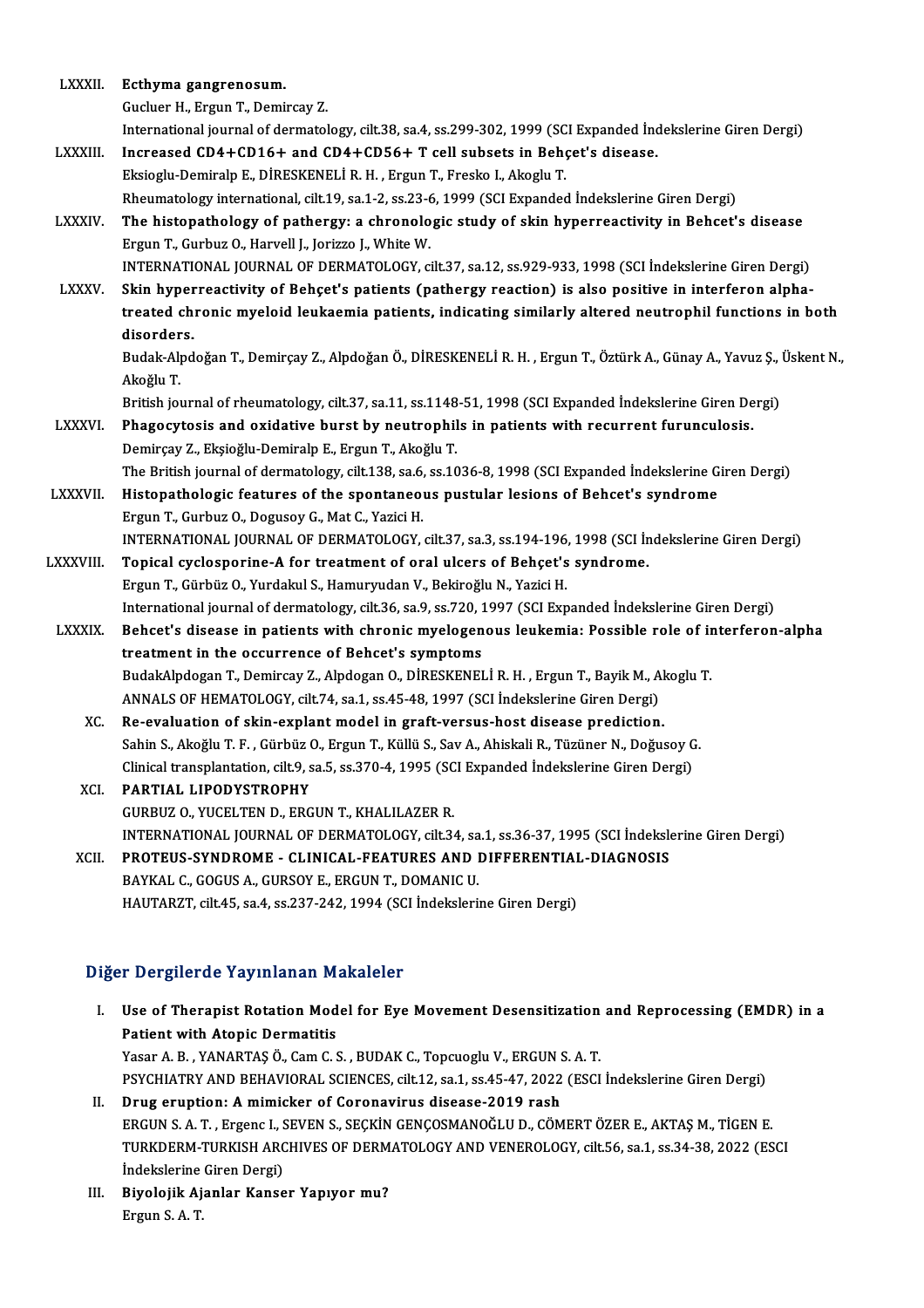| <b>LXXXII.</b>   | Ecthyma gangrenosum.                                                                                                                                     |
|------------------|----------------------------------------------------------------------------------------------------------------------------------------------------------|
|                  | Gucluer H., Ergun T., Demircay Z.                                                                                                                        |
|                  | International journal of dermatology, cilt.38, sa.4, ss.299-302, 1999 (SCI Expanded İndekslerine Giren Dergi)                                            |
| LXXXIII.         | Increased CD4+CD16+ and CD4+CD56+ T cell subsets in Behçet's disease.                                                                                    |
|                  | Eksioglu-Demiralp E., DİRESKENELİ R. H., Ergun T., Fresko I., Akoglu T.                                                                                  |
|                  | Rheumatology international, cilt.19, sa.1-2, ss.23-6, 1999 (SCI Expanded İndekslerine Giren Dergi)                                                       |
| <b>LXXXIV</b>    | The histopathology of pathergy: a chronologic study of skin hyperreactivity in Behcet's disease<br>Ergun T., Gurbuz O., Harvell J., Jorizzo J., White W. |
|                  | INTERNATIONAL JOURNAL OF DERMATOLOGY, cilt.37, sa.12, ss.929-933, 1998 (SCI İndekslerine Giren Dergi)                                                    |
| <b>LXXXV</b>     | Skin hyperreactivity of Behçet's patients (pathergy reaction) is also positive in interferon alpha-                                                      |
|                  | treated chronic myeloid leukaemia patients, indicating similarly altered neutrophil functions in both                                                    |
|                  | disorders.                                                                                                                                               |
|                  | Budak-Alpdoğan T., Demirçay Z., Alpdoğan Ö., DİRESKENELİ R. H., Ergun T., Öztürk A., Günay A., Yavuz Ş., Üskent N.,<br>Akoğlu T.                         |
|                  | British journal of rheumatology, cilt.37, sa.11, ss.1148-51, 1998 (SCI Expanded Indekslerine Giren Dergi)                                                |
| <b>LXXXVI</b>    | Phagocytosis and oxidative burst by neutrophils in patients with recurrent furunculosis.                                                                 |
|                  | Demirçay Z., Ekşioğlu-Demiralp E., Ergun T., Akoğlu T.                                                                                                   |
|                  | The British journal of dermatology, cilt.138, sa.6, ss.1036-8, 1998 (SCI Expanded Indekslerine Giren Dergi)                                              |
| LXXXVII.         | Histopathologic features of the spontaneous pustular lesions of Behcet's syndrome                                                                        |
|                  | Ergun T., Gurbuz O., Dogusoy G., Mat C., Yazici H.                                                                                                       |
|                  | INTERNATIONAL JOURNAL OF DERMATOLOGY, cilt.37, sa.3, ss.194-196, 1998 (SCI İndekslerine Giren Dergi)                                                     |
| <b>LXXXVIII.</b> | Topical cyclosporine-A for treatment of oral ulcers of Behçet's syndrome.                                                                                |
|                  | Ergun T., Gürbüz O., Yurdakul S., Hamuryudan V., Bekiroğlu N., Yazici H.                                                                                 |
|                  | International journal of dermatology, cilt.36, sa.9, ss.720, 1997 (SCI Expanded İndekslerine Giren Dergi)                                                |
| LXXXIX.          | Behcet's disease in patients with chronic myelogenous leukemia: Possible role of interferon-alpha                                                        |
|                  | treatment in the occurrence of Behcet's symptoms                                                                                                         |
|                  | BudakAlpdogan T., Demircay Z., Alpdogan O., DİRESKENELİ R. H., Ergun T., Bayik M., Akoglu T.                                                             |
|                  | ANNALS OF HEMATOLOGY, cilt.74, sa.1, ss.45-48, 1997 (SCI Indekslerine Giren Dergi)                                                                       |
| XC.              | Re-evaluation of skin-explant model in graft-versus-host disease prediction.                                                                             |
|                  | Sahin S., Akoğlu T. F., Gürbüz O., Ergun T., Küllü S., Sav A., Ahiskali R., Tüzüner N., Doğusoy G.                                                       |
|                  | Clinical transplantation, cilt.9, sa.5, ss.370-4, 1995 (SCI Expanded Indekslerine Giren Dergi)                                                           |
| XCI.             | PARTIAL LIPODYSTROPHY                                                                                                                                    |
|                  | GURBUZ O., YUCELTEN D., ERGUN T., KHALILAZER R.                                                                                                          |
|                  | INTERNATIONAL JOURNAL OF DERMATOLOGY, cilt.34, sa.1, ss.36-37, 1995 (SCI Indekslerine Giren Dergi)                                                       |
| XCII.            | PROTEUS-SYNDROME - CLINICAL-FEATURES AND DIFFERENTIAL-DIAGNOSIS                                                                                          |
|                  | BAYKAL C., GOGUS A., GURSOY E., ERGUN T., DOMANIC U.                                                                                                     |
|                  | HAUTARZT, cilt.45, sa.4, ss.237-242, 1994 (SCI Indekslerine Giren Dergi)                                                                                 |
|                  |                                                                                                                                                          |

#### Diğer Dergilerde Yayınlanan Makaleler

- Iger Dergilerde Yayınlanan Makaleler<br>I. Use of Therapist Rotation Model for Eye Movement Desensitization and Reprocessing (EMDR) in a<br>Retient with Atonis Dermetitis Patient Congression<br>Use of Therapist Rotation Mod<br>Patient with Atopic Dermatitis<br>Veser A. B. VANAPTAS Ö. Com G. Use of Therapist Rotation Model for Eye Movement Desensitization<br>Patient with Atopic Dermatitis<br>Yasar A. B., YANARTAŞ Ö., Cam C. S., BUDAK C., Topcuoglu V., ERGUN S. A. T.<br>PSYCHIATRY AND REHAVIORAL SCIENCES, silt 12, sa 1, Patient with Atopic Dermatitis<br>Yasar A. B. , YANARTAŞ Ö., Cam C. S. , BUDAK C., Topcuoglu V., ERGUN S. A. T.<br>PSYCHIATRY AND BEHAVIORAL SCIENCES, cilt.12, sa.1, ss.45-47, 2022 (ESCI İndekslerine Giren Dergi)<br>Prug eruntianı Yasar A. B., YANARTAŞ Ö., Cam C. S., BUDAK C., Topcuoglu V., ERGUN S.<br>PSYCHIATRY AND BEHAVIORAL SCIENCES, cilt.12, sa.1, ss.45-47, 2022<br>II. Drug eruption: A mimicker of Coronavirus disease-2019 rash<br>ERGUN S. A. T. EXSORAL PSYCHIATRY AND BEHAVIORAL SCIENCES, cilt.12, sa.1, ss.45-47, 2022 (ESCI İndekslerine Giren Dergi)<br>Drug eruption: A mimicker of Coronavirus disease-2019 rash<br>ERGUN S. A. T. , Ergenc I., SEVEN S., SEÇKİN GENÇOSMANOĞLU D., CÖ ERGUN S. A. T., Ergenc I., SEVEN S., SEÇKİN GENÇOSMANOĞLU D., CÖMERT ÖZER E., AKTAŞ M., TİGEN E.
- II. Drug eruption: A mimicker of Coronavirus disease-2019 rash<br>ERGUN S. A. T. , Ergenc I., SEVEN S., SEÇKİN GENÇOSMANOĞLU D., CÖMERT ÖZER E., AKTAŞ M., TİGEN E.<br>TURKDERM-TURKISH ARCHIVES OF DERMATOLOGY AND VENEROLOGY, cilt TURKDERM-TURKISH ARCHIVES OF DERM<br>Indekslerine Giren Dergi)<br>III. Biyolojik Ajanlar Kanser Yapıyor mu?
- İndekslerine<br>Biyolojik Aj<br>Ergun S. A. T.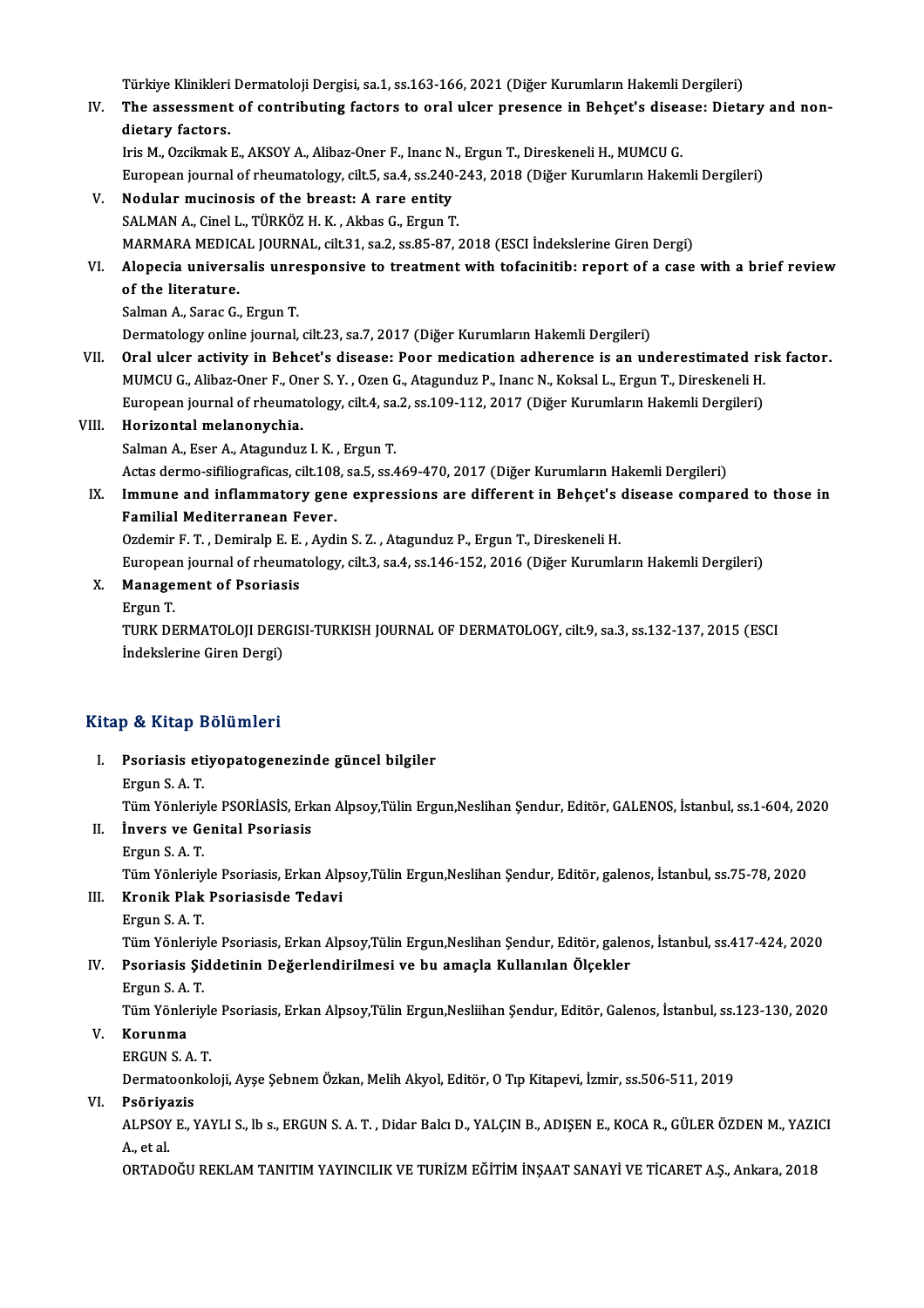Türkiye Klinikleri Dermatoloji Dergisi, sa.1, ss.163-166, 2021 (Diğer Kurumların Hakemli Dergileri)<br>The assessment of contributing festars to eral ulser presense in Bebest's disesse: Dista

IV. The assessment of contributing factors to oral ulcer presence in Behçet's disease: Dietary and non-Türkiye Klinikleri<br>The assessment<br>dietary factors.

IrisM.,OzcikmakE.,AKSOYA.,Alibaz-Oner F., InancN.,ErgunT.,DireskeneliH.,MUMCUG. European journal of rheumatology, cilt.5, sa.4, ss.240-243, 2018 (Diğer Kurumların Hakemli Dergileri)

V. Nodular mucinosis of the breast: A rare entity SALMAN A., Cinel L., TÜRKÖZ H. K., Akbas G., Ergun T. MARMARAMEDICAL JOURNAL, cilt.31, sa.2, ss.85-87,2018 (ESCI İndekslerineGirenDergi) SALMAN A., Cinel L., TÜRKÖZ H. K. , Akbas G., Ergun T.<br>MARMARA MEDICAL JOURNAL, cilt.31, sa.2, ss.85-87, 2018 (ESCI İndekslerine Giren Dergi)<br>VI. Alopecia universalis unresponsive to treatment with tofacinitib: report

#### MARMARA MEDICA<br>Alopecia univers<br>of the literature. Alopecia universalis unre<br>of the literature.<br>Salman A., Sarac G., Ergun T.<br>Dermatelegy enline journal. of the literature.<br>Salman A., Sarac G., Ergun T.<br>Dermatology online journal, cilt.23, sa.7, 2017 (Diğer Kurumların Hakemli Dergileri)

- VII. Oral ulcer activity in Behcet's disease: Poor medication adherence is an underestimated risk factor. Dermatology online journal, cilt.23, sa.7, 2017 (Diğer Kurumların Hakemli Dergileri)<br>Oral ulcer activity in Behcet's disease: Poor medication adherence is an underestimated ri:<br>MUMCU G., Alibaz-Oner F., Oner S.Y. , Ozen G. Oral ulcer activity in Behcet's disease: Poor medication adherence is an underestimated ri<br>MUMCU G., Alibaz-Oner F., Oner S. Y. , Ozen G., Atagunduz P., Inanc N., Koksal L., Ergun T., Direskeneli H.<br>European journal of rhe European journal of rheumatology, cilt.4, sa.2, ss.109-112, 2017 (Diğer Kurumların Hakemli Dergileri)
- VIII. Horizontal melanonychia.<br>Salman A., Eser A., Atagunduz I. K., Ergun T. Actas dermo-sifiliograficas, cilt.108, sa.5, ss.469-470, 2017 (Diğer Kurumların Hakemli Dergileri) Salman A., Eser A., Atagunduz I. K. , Ergun T.<br>Actas dermo-sifiliograficas, cilt.108, sa.5, ss.469-470, 2017 (Diğer Kurumların Hakemli Dergileri)<br>IX. Immune and inflammatory gene expressions are different in Behçet's disea

## Actas dermo-sifiliograficas, cilt.108<br>Immune and inflammatory gen<br>Familial Mediterranean Fever. Immune and inflammatory gene expressions are different in Behçet's<br>Familial Mediterranean Fever.<br>Ozdemir F.T., Demiralp E.E., Aydin S.Z., Atagunduz P., Ergun T., Direskeneli H.<br>European journal of rheumatelogy, silt 3, sa

Familial Mediterranean Fever.<br>Ozdemir F. T. , Demiralp E. E. , Aydin S. Z. , Atagunduz P., Ergun T., Direskeneli H.<br>European journal of rheumatology, cilt.3, sa.4, ss.146-152, 2016 (Diğer Kurumların Hakemli Dergileri) Ozdemir F. T. , Demiralp E. E.<br>European journal of rheuma<br>X. Management of Psoriasis

Europea<br><mark>Manage</mark><br>Ergun T.<br>TURK DE

Management of Psoriasis<br>Ergun T.<br>TURK DERMATOLOJI DERGISI-TURKISH JOURNAL OF DERMATOLOGY, cilt.9, sa.3, ss.132-137, 2015 (ESCI<br>Indekslerine Ciren Dergi) Ergun T.<br>TURK DERMATOLOJI DER<br>İndekslerine Giren Dergi)

# İndekslerine Giren Dergi)<br>Kitap & Kitap Bölümleri

itap & Kitap Bölümleri<br>I. Psoriasis etiyopatogenezinde güncel bilgiler<br>Frgun S.A.T p & map 2<br>Psoriasis et<br>Ergun S. A. T.<br>Tim Vänlar Psoriasis etiyopatogenezinde güncel bilgiler<br>Ergun S. A. T.<br>Tüm Yönleriyle PSORİASİS, Erkan Alpsoy,Tülin Ergun,Neslihan Şendur, Editör, GALENOS, İstanbul, ss.1-604, 2020 Ergun S. A. T.<br>Tüm Yönleriyle PSORİASİS, Erk<br>II. İnvers ve Genital Psoriasis<br>Frgun S. A. T Tüm Yönleriy<br>**İnvers ve Gen**<br>Ergun S. A. T.<br>Tüm Yönleriy İnvers ve Genital Psoriasis<br>Ergun S. A. T.<br>Tüm Yönleriyle Psoriasis, Erkan Alpsoy,Tülin Ergun,Neslihan Şendur, Editör, galenos, İstanbul, ss.75-78, 2020<br>Kranik Plak Psoriasisde Tedevi Ergun S. A. T.<br>Tüm Yönleriyle Psoriasis, Erkan Alp<br>III. Kronik Plak Psoriasisde Tedavi Tüm Yönleriy<br><mark>Kronik Plak</mark><br>Ergun S. A. T.<br>Tüm Vönleriy Kronik Plak Psoriasisde Tedavi<br>Ergun S. A. T.<br>Tüm Yönleriyle Psoriasis, Erkan Alpsoy,Tülin Ergun,Neslihan Şendur, Editör, galenos, İstanbul, ss.417-424, 2020<br>Psoriasis, Siddetinin Değerlendirilmesi ve bu amasla Kullanılan Ergun S. A. T.<br>Tüm Yönleriyle Psoriasis, Erkan Alpsoy,Tülin Ergun,Neslihan Şendur, Editör, galer<br>IV. Psoriasis Şiddetinin Değerlendirilmesi ve bu amaçla Kullanılan Ölçekler<br>Fraun S. A. T Tüm Yönleriy<br>Psoriasis Şie<br>Ergun S. A. T.<br>Tüm Yönleriy Psoriasis Şiddetinin Değerlendirilmesi ve bu amaçla Kullanılan Ölçekler<br>Ergun S. A. T.<br>Tüm Yönleriyle Psoriasis, Erkan Alpsoy,Tülin Ergun,Nesliihan Şendur, Editör, Galenos, İstanbul, ss.123-130, 2020<br>Konunma Ergun S. A. T.<br>Tüm Yönleriyle<br>V. Korunma<br>ERGUN S. A. T. Tüm Yönleriyle<br><mark>Korunma</mark><br>ERGUN S. A. T.<br>Dermateenkel Dermatoonkoloji,Ayşe ŞebnemÖzkan,MelihAkyol,Editör,OTıpKitapevi, İzmir, ss.506-511,2019 VI. Psöriyazis Dermatoonkoloji, Ayşe Şebnem Özkan, Melih Akyol, Editör, O Tıp Kitapevi, İzmir, ss.506-511, 2019<br><mark>Psöriyazis</mark><br>ALPSOY E., YAYLI S., lb s., ERGUN S. A. T. , Didar Balcı D., YALÇIN B., ADIŞEN E., KOCA R., GÜLER ÖZDEN M., YAZI

P<mark>söriya</mark><br>ALPSOY<br>A., et al.<br>OPTADO

A., et al.<br>ORTADOĞU REKLAM TANITIM YAYINCILIK VE TURİZM EĞİTİM İNŞAAT SANAYİ VE TİCARET A.Ş., Ankara, 2018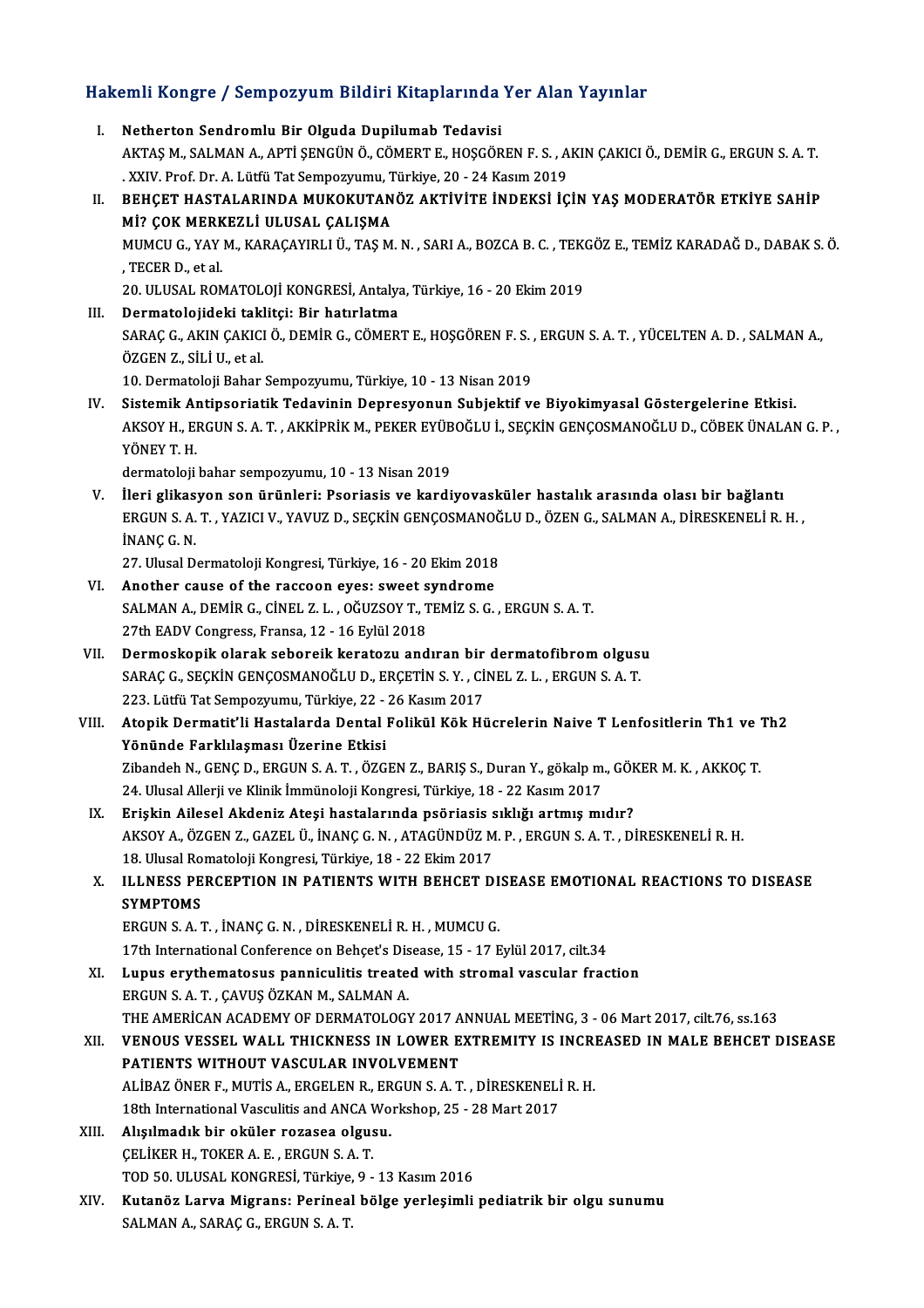# Hakemli Kongre / Sempozyum Bildiri Kitaplarında Yer Alan Yayınlar<br>Hakemli Kongre / Sempozyum Bildiri Kitaplarında Yer Alan Yayınlar

| Hakemli Kongre / Sempozyum Bildiri Kitaplarında Yer Alan Yayınlar |                                                                                                                                                                                                                                         |  |
|-------------------------------------------------------------------|-----------------------------------------------------------------------------------------------------------------------------------------------------------------------------------------------------------------------------------------|--|
| L.                                                                | Netherton Sendromlu Bir Olguda Dupilumab Tedavisi<br>AKTAŞ M., SALMAN A., APTİ ŞENGÜN Ö., CÖMERT E., HOŞGÖREN F. S., AKIN ÇAKICI Ö., DEMİR G., ERGUN S. A. T.<br>. XXIV. Prof. Dr. A. Lütfü Tat Sempozyumu, Türkiye, 20 - 24 Kasım 2019 |  |
| П.                                                                | BEHÇET HASTALARINDA MUKOKUTANÖZ AKTİVİTE İNDEKSİ İÇİN YAŞ MODERATÖR ETKİYE SAHİP<br>Mİ? ÇOK MERKEZLİ ULUSAL ÇALIŞMA                                                                                                                     |  |
|                                                                   | MUMCU G., YAY M., KARAÇAYIRLI Ü., TAŞ M. N., SARI A., BOZCA B. C., TEKGÖZ E., TEMİZ KARADAĞ D., DABAK S. Ö.<br>, TECER D., et al.                                                                                                       |  |
| Ш.                                                                | 20. ULUSAL ROMATOLOJİ KONGRESİ, Antalya, Türkiye, 16 - 20 Ekim 2019<br>Dermatolojideki taklitçi: Bir hatırlatma                                                                                                                         |  |
|                                                                   | SARAÇ G., AKIN ÇAKICI Ö., DEMİR G., CÖMERT E., HOŞGÖREN F. S., ERGUN S. A. T., YÜCELTEN A. D., SALMAN A.,<br>ÖZGEN Z., SİLİ U., et al.                                                                                                  |  |
|                                                                   | 10. Dermatoloji Bahar Sempozyumu, Türkiye, 10 - 13 Nisan 2019                                                                                                                                                                           |  |
| IV.                                                               | Sistemik Antipsoriatik Tedavinin Depresyonun Subjektif ve Biyokimyasal Göstergelerine Etkisi.<br>AKSOY H., ERGUN S. A. T., AKKİPRİK M., PEKER EYÜBOĞLU İ., SEÇKİN GENÇOSMANOĞLU D., CÖBEK ÜNALAN G. P.,<br>YÖNEY T H                    |  |
|                                                                   | dermatoloji bahar sempozyumu, 10 - 13 Nisan 2019                                                                                                                                                                                        |  |
| V.                                                                | İleri glikasyon son ürünleri: Psoriasis ve kardiyovasküler hastalık arasında olası bir bağlantı<br>ERGUN S. A. T., YAZICI V., YAVUZ D., SEÇKİN GENÇOSMANOĞLU D., ÖZEN G., SALMAN A., DİRESKENELİ R. H.,<br>INANÇ G. N.                  |  |
|                                                                   | 27. Ulusal Dermatoloji Kongresi, Türkiye, 16 - 20 Ekim 2018                                                                                                                                                                             |  |
| VI.                                                               | Another cause of the raccoon eyes: sweet syndrome                                                                                                                                                                                       |  |
|                                                                   | SALMAN A., DEMİR G., CİNEL Z. L., OĞUZSOY T., TEMİZ S. G., ERGUN S. A. T.                                                                                                                                                               |  |
|                                                                   | 27th EADV Congress, Fransa, 12 - 16 Eylül 2018                                                                                                                                                                                          |  |
| VII.                                                              | Dermoskopik olarak seboreik keratozu andıran bir dermatofibrom olgusu<br>SARAÇ G., SEÇKİN GENÇOSMANOĞLU D., ERÇETİN S.Y., CİNEL Z.L., ERGUN S.A.T.                                                                                      |  |
|                                                                   | 223. Lütfü Tat Sempozyumu, Türkiye, 22 - 26 Kasım 2017                                                                                                                                                                                  |  |
| VIII.                                                             | Atopik Dermatit'li Hastalarda Dental Folikül Kök Hücrelerin Naive T Lenfositlerin Th1 ve Th2                                                                                                                                            |  |
|                                                                   | Yönünde Farklılaşması Üzerine Etkisi                                                                                                                                                                                                    |  |
|                                                                   | Zibandeh N., GENÇ D., ERGUN S. A. T., ÖZGEN Z., BARIŞ S., Duran Y., gökalp m., GÖKER M. K., AKKOÇ T.                                                                                                                                    |  |
|                                                                   | 24. Ulusal Allerji ve Klinik İmmünoloji Kongresi, Türkiye, 18 - 22 Kasım 2017                                                                                                                                                           |  |
| IX.                                                               | Erişkin Ailesel Akdeniz Ateşi hastalarında psöriasis sıklığı artmış mıdır?                                                                                                                                                              |  |
|                                                                   | AKSOY A., ÖZGEN Z., GAZEL Ü., İNANÇ G. N., ATAGÜNDÜZ M. P., ERGUN S. A. T., DİRESKENELİ R. H.                                                                                                                                           |  |
|                                                                   | 18. Ulusal Romatoloji Kongresi, Türkiye, 18 - 22 Ekim 2017                                                                                                                                                                              |  |
| Х.                                                                | ILLNESS PERCEPTION IN PATIENTS WITH BEHCET DISEASE EMOTIONAL REACTIONS TO DISEASE<br><b>SYMPTOMS</b>                                                                                                                                    |  |
|                                                                   | ERGUN S. A. T., İNANÇ G. N., DİRESKENELİ R. H., MUMCU G.                                                                                                                                                                                |  |
|                                                                   | 17th International Conference on Behçet's Disease, 15 - 17 Eylül 2017, cilt.34                                                                                                                                                          |  |
| XI.                                                               | Lupus erythematosus panniculitis treated with stromal vascular fraction<br>ERGUN S. A. T., ÇAVUŞ ÖZKAN M., SALMAN A.                                                                                                                    |  |
|                                                                   | THE AMERICAN ACADEMY OF DERMATOLOGY 2017 ANNUAL MEETING, 3 - 06 Mart 2017, cilt.76, ss.163                                                                                                                                              |  |
| XII.                                                              | VENOUS VESSEL WALL THICKNESS IN LOWER EXTREMITY IS INCREASED IN MALE BEHCET DISEASE                                                                                                                                                     |  |
|                                                                   | PATIENTS WITHOUT VASCULAR INVOLVEMENT                                                                                                                                                                                                   |  |
|                                                                   | ALİBAZ ÖNER F., MUTİS A., ERGELEN R., ERGUN S. A. T., DİRESKENELİ R. H.                                                                                                                                                                 |  |
|                                                                   | 18th International Vasculitis and ANCA Workshop, 25 - 28 Mart 2017                                                                                                                                                                      |  |
| XIII.                                                             | Alışılmadık bir oküler rozasea olgusu.                                                                                                                                                                                                  |  |
|                                                                   | CELIKER H., TOKER A. E., ERGUN S. A. T.<br>TOD 50. ULUSAL KONGRESİ, Türkiye, 9 - 13 Kasım 2016                                                                                                                                          |  |
| XIV.                                                              | Kutanöz Larva Migrans: Perineal bölge yerleşimli pediatrik bir olgu sunumu                                                                                                                                                              |  |
|                                                                   | SALMAN A., SARAÇ G., ERGUN S. A. T.                                                                                                                                                                                                     |  |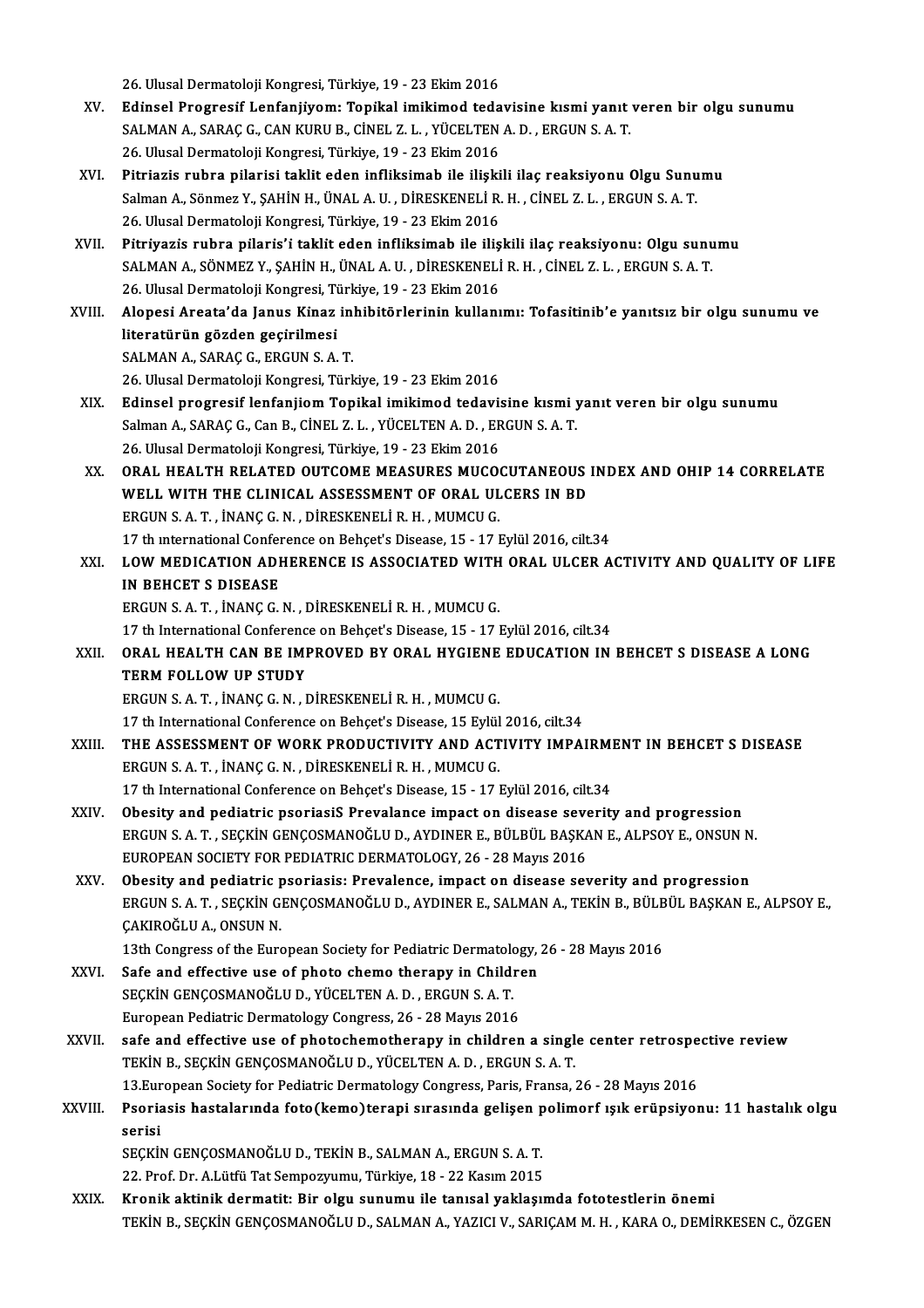26.UlusalDermatolojiKongresi,Türkiye,19 -23Ekim2016

- XV. Edı̇nsel Progresı̇f Lenfanjı̇yom: Topı̇kal imikimod tedavisine kısmı̇yanıt veren bir olgu sunumu 26. Ulusal Dermatoloji Kongresi, Türkiye, 19 - 23 Ekim 2016<br>Edinsel Progresif Lenfanjiyom: Topikal imikimod tedavisine kısmi yanıt<br>SALMAN A., SARAÇ G., CAN KURU B., CİNEL Z. L. , YÜCELTEN A. D. , ERGUN S. A. T.<br>26 Hlusal D Edinsel Progresif Lenfanjiyom: Topikal imikimod teda<br>SALMAN A., SARAÇ G., CAN KURU B., CİNEL Z. L. , YÜCELTEN<br>26. Ulusal Dermatoloji Kongresi, Türkiye, 19 - 23 Ekim 2016<br>Bitaiasia auhas ailəsisi təklit odan infilminəh ilə
- XVI. Pitriazis rubra pilarisi taklit eden infliksimab ile ilişkili ilaç reaksiyonu Olgu Sunumu 26. Ulusal Dermatoloji Kongresi, Türkiye, 19 - 23 Ekim 2016<br>Pitriazis rubra pilarisi taklit eden infliksimab ile ilişkili ilaç reaksiyonu Olgu Sunu<br>Salman A., Sönmez Y., ŞAHİN H., ÜNAL A. U. , DİRESKENELİ R. H. , CİNEL Z. Pitriazis rubra pilarisi taklit eden infliksimab ile ilişki<br>Salman A., Sönmez Y., ŞAHİN H., ÜNAL A. U. , DİRESKENELİ R.<br>26. Ulusal Dermatoloji Kongresi, Türkiye, 19 - 23 Ekim 2016<br>Bitriyazis rubra pilaris'i taklit adap inf Salman A., Sönmez Y., ŞAHİN H., ÜNAL A. U. , DİRESKENELİ R. H. , CİNEL Z. L. , ERGUN S. A. T.<br>26. Ulusal Dermatoloji Kongresi, Türkiye, 19 - 23 Ekim 2016<br>XVII. Pitriyazis rubra pilaris'i taklit eden infliksimab ile ilişkil
- 26. Ulusal Dermatoloji Kongresi, Türkiye, 19 23 Ekim 2016<br>Pitriyazis rubra pilaris'i taklit eden infliksimab ile ilişkili ilaç reaksiyonu: Olgu sunumu<br>SALMAN A., SÖNMEZ Y., SAHİN H., ÜNAL A. U. , DİRESKENELİ R. H. , CİNE 26.UlusalDermatolojiKongresi,Türkiye,19 -23Ekim2016 SALMAN A., SÖNMEZ Y., ŞAHİN H., ÜNAL A. U. , DİRESKENELİ R. H. , CİNEL Z. L. , ERGUN S. A. T.<br>26. Ulusal Dermatoloji Kongresi, Türkiye, 19 - 23 Ekim 2016<br>XVIII. Alopesi Areata'da Janus Kinaz inhibitörlerinin kullanımı:
- 26. Ulusal Dermatoloji Kongresi, Ti<br>Alopesi Areata'da Janus Kinaz<br>literatürün gözden geçirilmesi<br>SALMAN A. SARACC. ERCUN S.A Alopesi Areata'da Janus Kinaz in<br>literatürün gözden geçirilmesi<br>SALMAN A., SARAÇ G., ERGUN S. A. T.<br>26 Ulucal Dermataleji Kongresi Türl literatürün gözden geçirilmesi<br>26.UMAN A., SARAÇ G., ERGUN S. A. T.<br>26. Ulusal Dermatoloji Kongresi, Türkiye, 19 - 23 Ekim 2016
- XIX. Edinsel progresif lenfanjiomTopikal imikimod tedavisine kısmi yanıt veren bir olgu sunumu 26. Ulusal Dermatoloji Kongresi, Türkiye, 19 - 23 Ekim 2016<br>Edinsel progresif lenfanjiom Topikal imikimod tedavisine kısmi y<br>Salman A., SARAÇ G., Can B., CİNEL Z. L. , YÜCELTEN A. D. , ERGUN S. A. T.<br>26 Hivesl Dermatoloji Edinsel progresif lenfanjiom Topikal imikimod tedavis<br>Salman A., SARAÇ G., Can B., CİNEL Z. L. , YÜCELTEN A. D. , ER<br>26. Ulusal Dermatoloji Kongresi, Türkiye, 19 - 23 Ekim 2016<br>ORAL HEALTH RELATED OUTCOME MEASURES MUCO Salman A., SARAÇ G., Can B., CİNEL Z. L. , YÜCELTEN A. D. , ERGUN S. A. T.<br>26. Ulusal Dermatoloji Kongresi, Türkiye, 19 - 23 Ekim 2016<br>XX. ORAL HEALTH RELATED OUTCOME MEASURES MUCOCUTANEOUS INDEX AND OHIP 14 CORRELATE<br>
- 26. Ulusal Dermatoloji Kongresi, Türkiye, 19 23 Ekim 2016<br>ORAL HEALTH RELATED OUTCOME MEASURES MUCOCUTANEOUS<br>WELL WITH THE CLINICAL ASSESSMENT OF ORAL ULCERS IN BD<br>ERCUN S.A.T., İNANC C.N., DİREYENELLE H. MUMCU C WELL WITH THE CLINICAL ASSESSMENT OF ORAL ULCERS IN BD ERGUN S. A. T., İNANÇ G. N., DİRESKENELİ R. H., MUMCU G. WELL WITH THE CLINICAL ASSESSMENT OF ORAL ULCERS IN BD<br>ERGUN S. A. T. , İNANÇ G. N. , DİRESKENELİ R. H. , MUMCU G.<br>17 th international Conference on Behçet's Disease, 15 - 17 Eylül 2016, cilt.34<br>1 QW MEDICATION ADHEBENCE I
- XXI. LOW MEDICATION ADHERENCE IS ASSOCIATED WITH ORAL ULCER ACTIVITY AND QUALITY OF LIFE<br>IN BEHCET S DISEASE 17 th international Confer<br>LOW MEDICATION ADE<br>IN BEHCET S DISEASE ERGUNS.A.T. , İNANÇG.N. ,DİRESKENELİR.H. ,MUMCUG.
	- 17 th International Conference on Behçet's Disease, 15 17 Eylül 2016, cilt.34
- ERGUN S. A. T. , İNANÇ G. N. , DİRESKENELİ R. H. , MUMCU G.<br>17 th International Conference on Behçet's Disease, 15 17 Eylül 2016, cilt.34<br>XXII. ORAL HEALTH CAN BE IMPROVED BY ORAL HYGIENE EDUCATION IN BEHCET S DISEAS 17 th International Conference<br>ORAL HEALTH CAN BE IMITERM FOLLOW UP STUDY TERM FOLLOW UP STUDY<br>ERGUN S.A.T., İNANÇ G.N., DİRESKENELİ R.H., MUMCU G. TERM FOLLOW UP STUDY<br>ERGUN S. A. T. , İNANÇ G. N. , DİRESKENELİ R. H. , MUMCU G.<br>17 th International Conference on Behçet's Disease, 15 Eylül 2016, cilt.34<br>THE ASSESSMENT OF WORK PRODUCTIVITY AND ACTIVITY IMPA!

- XXIII. THE ASSESSMENT OF WORK PRODUCTIVITY AND ACTIVITY IMPAIRMENT IN BEHCET S DISEASE<br>ERGUN S. A. T., INANC G. N., DIRESKENELI R. H., MUMCU G. 17 th International Conference on Behçet's Disease, 15 Eylül<br>THE ASSESSMENT OF WORK PRODUCTIVITY AND ACT<br>ERGUN S. A. T. , İNANÇ G. N. , DİRESKENELİ R. H. , MUMCU G.<br>17 th International Conference on Behçet'e Disease, 15 , 17 th International Conference on Behçet's Disease, 15 - 17 Eylül 2016, cilt.34
- ERGUN S. A. T., İNANÇ G. N., DİRESKENELİ R. H., MUMCU G.<br>17 th International Conference on Behçet's Disease, 15 17 Eylül 2016, cilt.34<br>XXIV. Obesity and pediatric psoriasiS Prevalance impact on disease severity and progr 17 th International Conference on Behçet's Disease, 15 - 17 Eylül 2016, cilt.34<br>Obesity and pediatric psoriasiS Prevalance impact on disease severity and progression<br>ERGUN S. A. T. , SEÇKİN GENÇOSMANOĞLU D., AYDINER E., BÜ Obesity and pediatric psoriasiS Prevalance impact on disease sevent and the Section Control of the Section Section SASK.<br>EUROPEAN SOCIETY FOR PEDIATRIC DERMATOLOGY, 26 - 28 Mayıs 2016<br>Obesity and pediatric psoriasis: Preva ERGUN S. A. T. , SEÇKİN GENÇOSMANOĞLU D., AYDINER E., BÜLBÜL BAŞKAN E., ALPSOY E., ONSUN N.<br>EUROPEAN SOCIETY FOR PEDIATRIC DERMATOLOGY, 26 - 28 Mayıs 2016<br>XXV. Obesity and pediatric psoriasis: Prevalence. impact on dis
- EUROPEAN SOCIETY FOR PEDIATRIC DERMATOLOGY, 26 28 Mayıs 2016<br>Obesity and pediatric psoriasis: Prevalence, impact on disease severity and progression<br>ERGUN S. A. T. , SEÇKİN GENÇOSMANOĞLU D., AYDINER E., SALMAN A., TEKİN Obesity and pediatric psoriasis: Prevalence, impact on disease severity and progression ERGUN S. A. T., SEÇKİN GENÇOSMANOĞLU D., AYDINER E., SALMAN A., TEKİN B., BÜLBÜL BAŞKAN I ÇAKIROĞLU A., ONSUN N. ERGUN S. A. T. , SEÇKİN GENÇOSMANOĞLU D., AYDINER E., SALMAN A., TEKİN B., BÜLB<br>ÇAKIROĞLU A., ONSUN N.<br>13th Congress of the European Society for Pediatric Dermatology, 26 - 28 Mayıs 2016<br>Safa and affective use of phota sha

13th Congress of the European Society for Pediatric Dermatology, 26 - 28 Mayıs 2016<br>XXVI. Safe and effective use of photo chemo therapy in Children

- SEÇKİNGENÇOSMANOĞLUD.,YÜCELTENA.D. ,ERGUNS.A.T. European Pediatric Dermatology Congress, 26 - 28 Mayıs 2016
- SEÇKİN GENÇOSMANOĞLU D., YÜCELTEN A. D., ERGUN S. A. T.<br>European Pediatric Dermatology Congress, 26 28 Mayıs 2016<br>XXVII. Safe and effective use of photochemotherapy in children a single center retrospective review<br>TEVIN European Pediatric Dermatology Congress, 26 - 28 Mayıs 2016<br>safe and effective use of photochemotherapy in children a singl<br>TEKİN B., SEÇKİN GENÇOSMANOĞLU D., YÜCELTEN A. D. , ERGUN S. A. T.<br>12 European Society for Pediatr safe and effective use of photochemotherapy in children a single center retrospe<br>TEKİN B., SEÇKİN GENÇOSMANOĞLU D., YÜCELTEN A. D. , ERGUN S. A. T.<br>13.European Society for Pediatric Dermatology Congress, Paris, Fransa, 26 13. European Society for Pediatric Dermatology Congress, Paris, Fransa, 26 - 28 Mayıs 2016
- TEKİN B., SEÇKİN GENÇOSMANOĞLU D., YÜCELTEN A. D. , ERGUN S. A. T.<br>13.European Society for Pediatric Dermatology Congress, Paris, Fransa, 26 28 Mayıs 2016<br>XXVIII. Psoriasis hastalarında foto(kemo)terapi sırasında gel Psoriasis hastalarında foto(kemo)terapi sırasında gelişen p<br>serisi<br>SEÇKİN GENÇOSMANOĞLU D., TEKİN B., SALMAN A., ERGUN S. A. T.<br>22. Prof. Dr. A.Lütfü Tet Somnownumu, Türkiye 19., 22 Kesun 2015 serisi<br>SEÇKİN GENÇOSMANOĞLU D., TEKİN B., SALMAN A., ERGUN S. A. T.<br>22. Prof. Dr. A.Lütfü Tat Sempozyumu, Türkiye, 18 - 22 Kasım 2015<br>Knonik aktinik dormatit. Bir olan sunumu ile tanısal vaklasım

XXIX. Kronik aktinik dermatit: Bir olgu sunumu ile tanısal yaklaşımda fototestlerin önemi TEKİN B., SEÇKİN GENÇOSMANOĞLU D., SALMAN A., YAZICI V., SARIÇAM M. H., KARA O., DEMİRKESEN C., ÖZGEN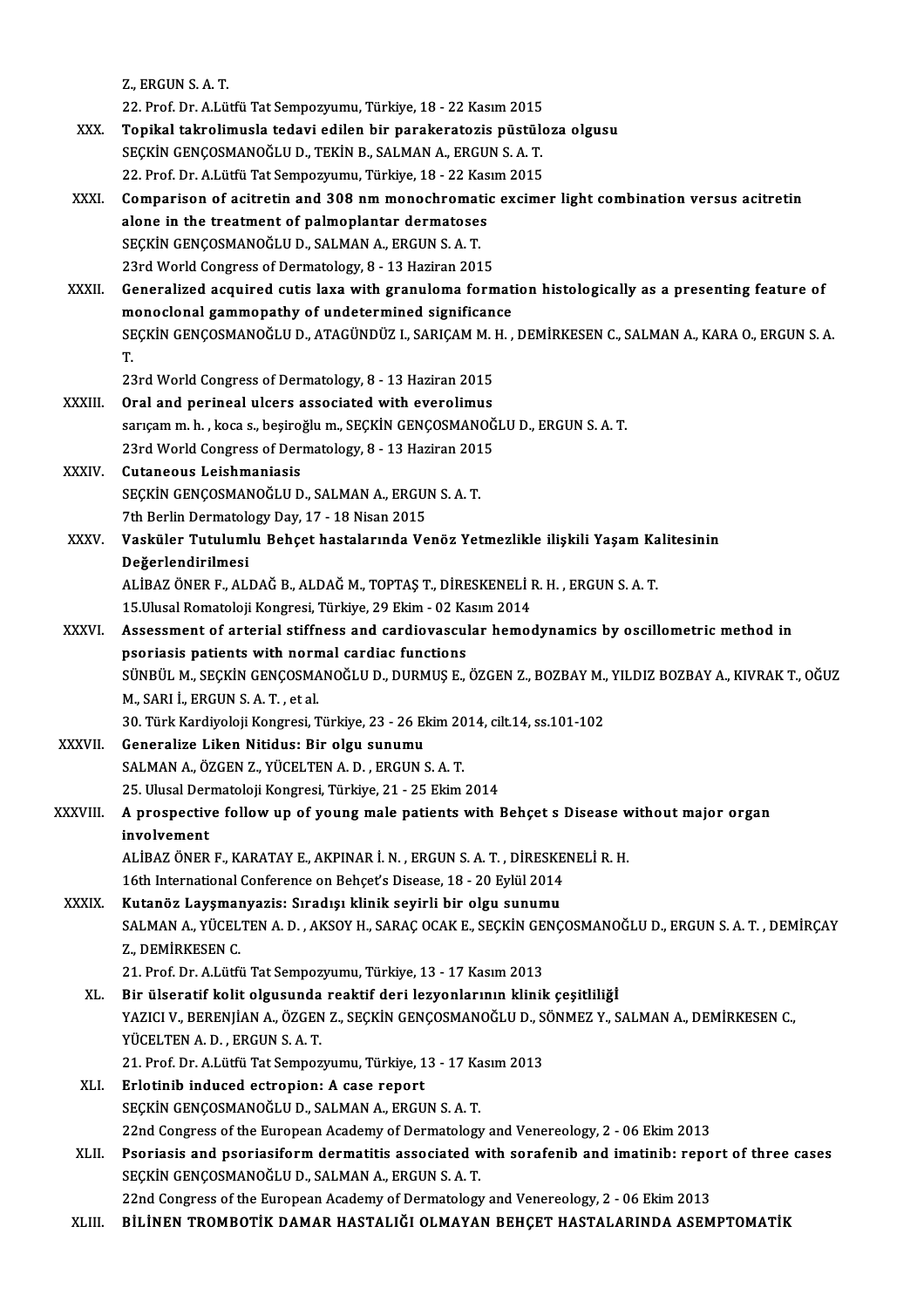Z. ERGUNS AT.

22. Prof. Dr. A.Lütfü Tat Sempozyumu, Türkiye, 18 - 22 Kasım 2015

- Z., ERGUN S. A. T.<br>22. Prof. Dr. A.Lütfü Tat Sempozyumu, Türkiye, 18 22 Kasım 2015<br>XXX. Topikal takrolimusla tedavi edilen bir parakeratozis püstüloza olgusu<br>SECKIN S A T 22. Prof. Dr. A.Lütfü Tat Sempozyumu, Türkiye, 18 - 22 Kasım 2015<br>Topikal takrolimusla tedavi edilen bir parakeratozis püstüle<br>SEÇKİN GENÇOSMANOĞLU D., TEKİN B., SALMAN A., ERGUN S. A. T.<br>22. Prof. Dr. A Lütfü Tat Sempozyu Topikal takrolimusla tedavi edilen bir parakeratozis püstülc<br>SEÇKİN GENÇOSMANOĞLU D., TEKİN B., SALMAN A., ERGUN S. A. T.<br>22. Prof. Dr. A.Lütfü Tat Sempozyumu, Türkiye, 18 - 22 Kasım 2015<br>Comparison of asitratin and 308 nm SEÇKİN GENÇOSMANOĞLU D., TEKİN B., SALMAN A., ERGUN S. A. T.<br>22. Prof. Dr. A.Lütfü Tat Sempozyumu, Türkiye, 18 - 22 Kasım 2015<br>XXXI. Comparison of acitretin and 308 nm monochromatic excimer light combination versus aci
- 22. Prof. Dr. A.Lütfü Tat Sempozyumu, Türkiye, 18 22 Kasım 2015<br>Comparison of acitretin and 308 nm monochromatic excime<br>alone in the treatment of palmoplantar dermatoses<br>SECKIN GENCOSMANOĞLU D., SALMAN A., ERGUN S. A. T. alone in the treatment of palmoplantar dermatoses 23rd World Congress of Dermatology, 8 - 13 Haziran 2015 SEÇKİN GENÇOSMANOĞLU D., SALMAN A., ERGUN S. A. T.<br>23rd World Congress of Dermatology, 8 - 13 Haziran 2015<br>XXXII. Generalized acquired cutis laxa with granuloma formation histologically as a presenting feature of<br>monoc
- 23rd World Congress of Dermatology, 8 13 Haziran 2015<br>Generalized acquired cutis laxa with granuloma format<br>monoclonal gammopathy of undetermined significance<br>SECKIN CENCOSMANOČLU D. ATACÜNDÜZ L. SABICAM M. H Generalized acquired cutis laxa with granuloma formation histologically as a presenting feature of<br>monoclonal gammopathy of undetermined significance<br>SEÇKİN GENÇOSMANOĞLU D., ATAGÜNDÜZ I., SARIÇAM M. H. , DEMİRKESEN C., SA m<br>SE<br>T. SEÇKİN GENÇOSMANOĞLU D., ATAGÜNDÜZ I., SARIÇAM M. H. , DEMİRKESEN C., SALMAN A., KARA O., ERGUN S. A.<br>T.<br>23rd World Congress of Dermatology, 8 - 13 Haziran 2015
	-
- XXXIII. Oral and perineal ulcers associated with everolimus 23rd World Congress of Dermatology, 8 - 13 Haziran 2015<br>Oral and perineal ulcers associated with everolimus<br>sarıçamm.h., koca s., beşiroğlum., SEÇKİN GENÇOSMANOĞLUD., ERGUN S. A. T.<br>22rd World Congress of Dermatology, 8 - Oral and perineal ulcers associated with everolimus<br>sarıçam m. h. , koca s., beşiroğlu m., SEÇKİN GENÇOSMANOĞ<br>23rd World Congress of Dermatology, 8 - 13 Haziran 2015<br>Cutaneous Leishmaniasis sarıçam m. h. , koca s., beşiro;<br>23rd World Congress of Der;<br>XXXIV. Cutaneous Leishmaniasis<br>CECKIN CENCOSMANOČLU D
- 23rd World Congress of Dermatology, 8 13 Haziran 2015<br>Cutaneous Leishmaniasis<br>SEÇKİN GENÇOSMANOĞLU D., SALMAN A., ERGUN S. A. T. Cutaneous Leishmaniasis<br>SEÇKİN GENÇOSMANOĞLU D., SALMAN A., ERGUI<br>7th Berlin Dermatology Day, 17 - 18 Nisan 2015<br>Vesküler Tutulumlu Behest hastalarında Ve
- XXXV. Vasküler Tutulumlu Behçet hastalarında Venöz Yetmezlikle ilişkili Yaşam Kalitesinin<br>Değerlendirilmesi 7th Berlin Dermatolo<br>Vasküler Tutuluml<br>Değerlendirilmesi<br>ALİPAZÖNER E. ALI Vasküler Tutulumlu Behçet hastalarında Venöz Yetmezlikle ilişkili Yaşam Ka<br>Değerlendirilmesi<br>ALİBAZ ÖNER F., ALDAĞ B., ALDAĞ M., TOPTAŞ T., DİRESKENELİ R. H. , ERGUN S. A. T.<br>15 Ulusal Bamatalaji Kangresi Türkiye 29 Ekim, Değerlendirilmesi<br>ALİBAZ ÖNER F., ALDAĞ B., ALDAĞ M., TOPTAŞ T., DİRESKENELİ I<br>15.Ulusal Romatoloji Kongresi, Türkiye, 29 Ekim - 02 Kasım 2014<br>Assessment of arterial stiffness and sardiayassular hamas
	-

- ALİBAZ ÖNER F., ALDAĞ B., ALDAĞ M., TOPTAŞ T., DİRESKENELİ R. H. , ERGUN S. A. T.<br>15.Ulusal Romatoloji Kongresi, Türkiye, 29 Ekim 02 Kasım 2014<br>XXXVI. Assessment of arterial stiffness and cardiovascular hemodynamics by o 15.Ulusal Romatoloji Kongresi, Türkiye, 29 Ekim - 02 Ka<br>Assessment of arterial stiffness and cardiovascul<br>psoriasis patients with normal cardiac functions<br>sünpül M. SECKIN CENCOSMANOČLU D. DUPMUS E Assessment of arterial stiffness and cardiovascular hemodynamics by oscillometric method in<br>psoriasis patients with normal cardiac functions<br>SÜNBÜL M., SEÇKİN GENÇOSMANOĞLU D., DURMUŞ E., ÖZGEN Z., BOZBAY M., YILDIZ BOZBAY psoriasis patients with normal cardiac functions<br>SÜNBÜL M., SEÇKİN GENÇOSMANOĞLU D., DURMUŞ E., ÖZGEN Z., BOZBAY M., YILDIZ BOZBAY A., KIVRAK T., OĞUZ<br>M., SARI İ., ERGUN S. A. T. , et al. SÜNBÜL M., SEÇKİN GENÇOSMANOĞLU D., DURMUŞ E., ÖZGEN Z., BOZBAY M.,<br>M., SARI İ., ERGUN S. A. T. , et al.<br>30. Türk Kardiyoloji Kongresi, Türkiye, 23 - 26 Ekim 2014, cilt.14, ss.101-102<br>Conoraliro Likon Nitidus: Bir olgu sun
- XXXVII. Generalize Liken Nitidus: Bir olgu sunumu<br>SALMAN A., ÖZGEN Z., YÜCELTEN A. D., ERGUN S. A. T. 30. Türk Kardiyoloji Kongresi, Türkiye, 23 - 26 Ekim 20<br>Generalize Liken Nitidus: Bir olgu sunumu<br>SALMAN A., ÖZGEN Z., YÜCELTEN A. D. , ERGUN S. A. T.<br>25 Ulucel Dermateleji Kongresi, Türkiye, 21 - 25 Ekim 25. Ulusal Dermatoloji Kongresi, Türkiye, 21 - 25 Ekim 2014
- SALMAN A., ÖZGEN Z., YÜCELTEN A. D. , ERGUN S. A. T.<br>25. Ulusal Dermatoloji Kongresi, Türkiye, 21 25 Ekim 2014<br>XXXVIII. A prospective follow up of young male patients with Behçet s Disease without major organ<br>involve 25. Ulusal Der<br>A prospectiv<br>involvement<br>ALIPAZ ÖNER A prospective follow up of young male patients with Behçet s Disease w<br>involvement<br>ALİBAZ ÖNER F., KARATAY E., AKPINAR İ. N. , ERGUN S. A. T. , DİRESKENELİ R. H.<br>16th International Conference en Behest's Disease 19 – 20 Er

involvement<br>ALİBAZ ÖNER F., KARATAY E., AKPINAR İ. N. , ERGUN S. A. T. , DİRESKE<br>16th International Conference on Behçet's Disease, 18 - 20 Eylül 2014<br>Kutanör I avemanyaria: Sınadısı klinik savirli bir algu sunumu

ALİBAZ ÖNER F., KARATAY E., AKPINAR İ. N., ERGUN S. A. T., DİRESKE<br>16th International Conference on Behçet's Disease, 18 - 20 Eylül 2014<br>XXXIX. Kutanöz Layşmanyazis: Sıradışı klinik seyirli bir olgu sunumu<br>50J MAN A VÜCELT 16th International Conference on Behçet's Disease, 18 - 20 Eylül 2014<br>Kutanöz Layşmanyazis: Sıradışı klinik seyirli bir olgu sunumu<br>SALMAN A., YÜCELTEN A. D. , AKSOY H., SARAÇ OCAK E., SEÇKİN GENÇOSMANOĞLU D., ERGUN S. A. Kutanöz Layşmar<br>SALMAN A., YÜCEL<br>Z., DEMİRKESEN C.<br>21. Prof. Dr. A Lütfi SALMAN A., YÜCELTEN A. D. , AKSOY H., SARAÇ OCAK E., SEÇKİN GE<br>Z., DEMİRKESEN C.<br>21. Prof. Dr. A.Lütfü Tat Sempozyumu, Türkiye, 13 - 17 Kasım 2013<br>Bir ülseretif kelit olayevnda reaktif deri lezyenlerunu klipil

- X., DEMİRKESEN C.<br>21. Prof. Dr. A.Lütfü Tat Sempozyumu, Türkiye, 13 17 Kasım 2013<br>XL. Bir ülseratif kolit olgusunda reaktif deri lezyonlarının klinik çeşitliliği<br>XAZICLV. RERENLIAN A. ÖZCEN Z. SECKİN CENCOSMANOČLU D. SÖN 21. Prof. Dr. A.Lütfü Tat Sempozyumu, Türkiye, 13 - 17 Kasım 2013<br>Bir ülseratif kolit olgusunda reaktif deri lezyonlarının klinik çeşitliliğİ<br>YAZICI V., BERENJİAN A., ÖZGEN Z., SEÇKİN GENÇOSMANOĞLU D., SÖNMEZ Y., SALMAN A. Bir ülseratif kolit olgusunda<br>YAZICI V., BERENJİAN A., ÖZGEN<br>YÜCELTEN A. D. , ERGUN S. A. T.<br>21. Prof. Dr. A Lütfü Tat Semner YAZICI V., BERENJİAN A., ÖZGEN Z., SEÇKİN GENÇOSMANOĞLU D., S<br>YÜCELTEN A. D. , ERGUN S. A. T.<br>21. Prof. Dr. A.Lütfü Tat Sempozyumu, Türkiye, 13 - 17 Kasım 2013<br>Erletinib indused estrenianı A. sase renert. YÜCELTEN A. D., ERGUN S. A. T.<br>21. Prof. Dr. A.Lütfü Tat Sempozyumu, Türkiye, 1<br>XLI. Brlotinib induced ectropion: A case report<br>SECKIN CENCOSMANOČU ID. SALMAN A. ERGU
	-
- 21. Prof. Dr. A.Lütfü Tat Sempozyumu, Türkiye, 13 17 Ka<br>Erlotinib induced ectropion: A case report<br>SEÇKİN GENÇOSMANOĞLU D., SALMAN A., ERGUN S. A. T.<br>22nd Congress of the European Asademy of Dermatelegy 22nd Congress of the Europion: A case report<br>22nd Congress of the European Academy of Dermatology and Venereology, 2 - 06 Ekim 2013 SEÇKİN GENÇOSMANOĞLU D., SALMAN A., ERGUN S. A. T.<br>22nd Congress of the European Academy of Dermatology and Venereology, 2 - 06 Ekim 2013<br>XLII. Psoriasis and psoriasiform dermatitis associated with sorafenib and imatinib:
- 22nd Congress of the European Academy of Dermatology<br>Psoriasis and psoriasiform dermatitis associated w<br>SEÇKİN GENÇOSMANOĞLU D., SALMAN A., ERGUN S. A. T. Psoriasis and psoriasiform dermatitis associated with sorafenib and imatinib: repo<br>SEÇKİN GENÇOSMANOĞLU D., SALMAN A., ERGUN S. A. T.<br>22nd Congress of the European Academy of Dermatology and Venereology, 2 - 06 Ekim 2013<br>P SEÇKİN GENÇOSMANOĞLU D., SALMAN A., ERGUN S. A. T.<br>22nd Congress of the European Academy of Dermatology and Venereology, 2 - 06 Ekim 2013<br>XLIII. BİLİNEN TROMBOTİK DAMAR HASTALIĞI OLMAYAN BEHÇET HASTALARINDA ASEMPTOMATİ